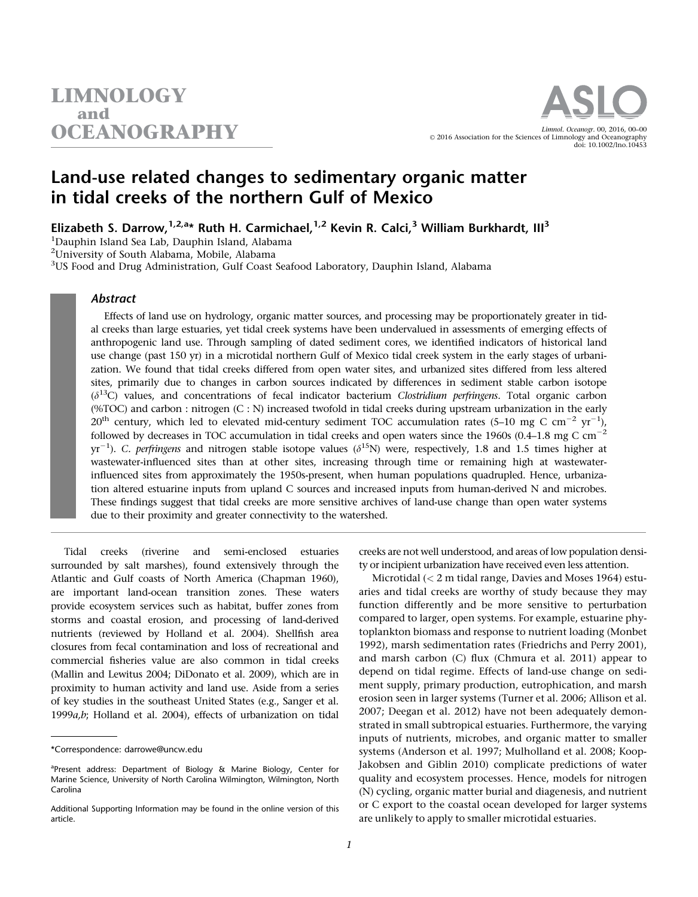# Land-use related changes to sedimentary organic matter in tidal creeks of the northern Gulf of Mexico

Elizabeth S. Darrow,  $1,2,a*$  Ruth H. Carmichael,  $1,2$  Kevin R. Calci, <sup>3</sup> William Burkhardt, III<sup>3</sup>

<sup>1</sup>Dauphin Island Sea Lab, Dauphin Island, Alabama

<sup>2</sup>University of South Alabama, Mobile, Alabama

<sup>3</sup>US Food and Drug Administration, Gulf Coast Seafood Laboratory, Dauphin Island, Alabama

# Abstract

Effects of land use on hydrology, organic matter sources, and processing may be proportionately greater in tidal creeks than large estuaries, yet tidal creek systems have been undervalued in assessments of emerging effects of anthropogenic land use. Through sampling of dated sediment cores, we identified indicators of historical land use change (past 150 yr) in a microtidal northern Gulf of Mexico tidal creek system in the early stages of urbanization. We found that tidal creeks differed from open water sites, and urbanized sites differed from less altered sites, primarily due to changes in carbon sources indicated by differences in sediment stable carbon isotope  $(\delta^{13}C)$  values, and concentrations of fecal indicator bacterium *Clostridium perfringens*. Total organic carbon (%TOC) and carbon : nitrogen (C : N) increased twofold in tidal creeks during upstream urbanization in the early  $20^{\text{th}}$  century, which led to elevated mid-century sediment TOC accumulation rates (5–10 mg C cm<sup>-2</sup> yr<sup>-1</sup>), followed by decreases in TOC accumulation in tidal creeks and open waters since the 1960s (0.4–1.8 mg C cm<sup>-2</sup>  $yr^{-1}$ ). C. perfringens and nitrogen stable isotope values ( $\delta^{15}$ N) were, respectively, 1.8 and 1.5 times higher at wastewater-influenced sites than at other sites, increasing through time or remaining high at wastewaterinfluenced sites from approximately the 1950s-present, when human populations quadrupled. Hence, urbanization altered estuarine inputs from upland C sources and increased inputs from human-derived N and microbes. These findings suggest that tidal creeks are more sensitive archives of land-use change than open water systems due to their proximity and greater connectivity to the watershed.

Tidal creeks (riverine and semi-enclosed estuaries surrounded by salt marshes), found extensively through the Atlantic and Gulf coasts of North America (Chapman 1960), are important land-ocean transition zones. These waters provide ecosystem services such as habitat, buffer zones from storms and coastal erosion, and processing of land-derived nutrients (reviewed by Holland et al. 2004). Shellfish area closures from fecal contamination and loss of recreational and commercial fisheries value are also common in tidal creeks (Mallin and Lewitus 2004; DiDonato et al. 2009), which are in proximity to human activity and land use. Aside from a series of key studies in the southeast United States (e.g., Sanger et al. 1999a,b; Holland et al. 2004), effects of urbanization on tidal creeks are not well understood, and areas of low population density or incipient urbanization have received even less attention.

Microtidal (< 2 m tidal range, Davies and Moses 1964) estuaries and tidal creeks are worthy of study because they may function differently and be more sensitive to perturbation compared to larger, open systems. For example, estuarine phytoplankton biomass and response to nutrient loading (Monbet 1992), marsh sedimentation rates (Friedrichs and Perry 2001), and marsh carbon (C) flux (Chmura et al. 2011) appear to depend on tidal regime. Effects of land-use change on sediment supply, primary production, eutrophication, and marsh erosion seen in larger systems (Turner et al. 2006; Allison et al. 2007; Deegan et al. 2012) have not been adequately demonstrated in small subtropical estuaries. Furthermore, the varying inputs of nutrients, microbes, and organic matter to smaller systems (Anderson et al. 1997; Mulholland et al. 2008; Koop-Jakobsen and Giblin 2010) complicate predictions of water quality and ecosystem processes. Hence, models for nitrogen (N) cycling, organic matter burial and diagenesis, and nutrient or C export to the coastal ocean developed for larger systems are unlikely to apply to smaller microtidal estuaries.

<sup>\*</sup>Correspondence: darrowe@uncw.edu

<sup>&</sup>lt;sup>a</sup>Present address: Department of Biology & Marine Biology, Center for Marine Science, University of North Carolina Wilmington, Wilmington, North Carolina

Additional Supporting Information may be found in the online version of this article.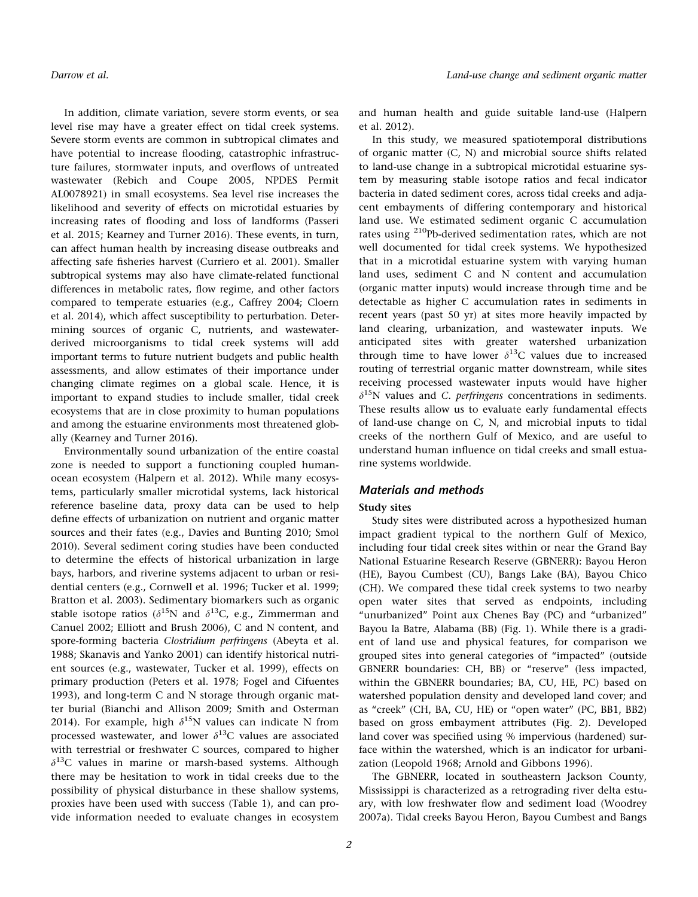In addition, climate variation, severe storm events, or sea level rise may have a greater effect on tidal creek systems. Severe storm events are common in subtropical climates and have potential to increase flooding, catastrophic infrastructure failures, stormwater inputs, and overflows of untreated wastewater (Rebich and Coupe 2005, NPDES Permit AL0078921) in small ecosystems. Sea level rise increases the likelihood and severity of effects on microtidal estuaries by increasing rates of flooding and loss of landforms (Passeri et al. 2015; Kearney and Turner 2016). These events, in turn, can affect human health by increasing disease outbreaks and affecting safe fisheries harvest (Curriero et al. 2001). Smaller subtropical systems may also have climate-related functional differences in metabolic rates, flow regime, and other factors compared to temperate estuaries (e.g., Caffrey 2004; Cloern et al. 2014), which affect susceptibility to perturbation. Determining sources of organic C, nutrients, and wastewaterderived microorganisms to tidal creek systems will add important terms to future nutrient budgets and public health assessments, and allow estimates of their importance under changing climate regimes on a global scale. Hence, it is important to expand studies to include smaller, tidal creek ecosystems that are in close proximity to human populations and among the estuarine environments most threatened globally (Kearney and Turner 2016).

Environmentally sound urbanization of the entire coastal zone is needed to support a functioning coupled humanocean ecosystem (Halpern et al. 2012). While many ecosystems, particularly smaller microtidal systems, lack historical reference baseline data, proxy data can be used to help define effects of urbanization on nutrient and organic matter sources and their fates (e.g., Davies and Bunting 2010; Smol 2010). Several sediment coring studies have been conducted to determine the effects of historical urbanization in large bays, harbors, and riverine systems adjacent to urban or residential centers (e.g., Cornwell et al. 1996; Tucker et al. 1999; Bratton et al. 2003). Sedimentary biomarkers such as organic stable isotope ratios ( $\delta^{15}N$  and  $\delta^{13}C$ , e.g., Zimmerman and Canuel 2002; Elliott and Brush 2006), C and N content, and spore-forming bacteria Clostridium perfringens (Abeyta et al. 1988; Skanavis and Yanko 2001) can identify historical nutrient sources (e.g., wastewater, Tucker et al. 1999), effects on primary production (Peters et al. 1978; Fogel and Cifuentes 1993), and long-term C and N storage through organic matter burial (Bianchi and Allison 2009; Smith and Osterman 2014). For example, high  $\delta^{15}N$  values can indicate N from processed wastewater, and lower  $\delta^{13}$ C values are associated with terrestrial or freshwater C sources, compared to higher  $\delta^{13}$ C values in marine or marsh-based systems. Although there may be hesitation to work in tidal creeks due to the possibility of physical disturbance in these shallow systems, proxies have been used with success (Table 1), and can provide information needed to evaluate changes in ecosystem

and human health and guide suitable land-use (Halpern et al. 2012).

In this study, we measured spatiotemporal distributions of organic matter (C, N) and microbial source shifts related to land-use change in a subtropical microtidal estuarine system by measuring stable isotope ratios and fecal indicator bacteria in dated sediment cores, across tidal creeks and adjacent embayments of differing contemporary and historical land use. We estimated sediment organic C accumulation rates using <sup>210</sup>Pb-derived sedimentation rates, which are not well documented for tidal creek systems. We hypothesized that in a microtidal estuarine system with varying human land uses, sediment C and N content and accumulation (organic matter inputs) would increase through time and be detectable as higher C accumulation rates in sediments in recent years (past 50 yr) at sites more heavily impacted by land clearing, urbanization, and wastewater inputs. We anticipated sites with greater watershed urbanization through time to have lower  $\delta^{13}$ C values due to increased routing of terrestrial organic matter downstream, while sites receiving processed wastewater inputs would have higher  $\delta^{15}$ N values and *C. perfringens* concentrations in sediments. These results allow us to evaluate early fundamental effects of land-use change on C, N, and microbial inputs to tidal creeks of the northern Gulf of Mexico, and are useful to understand human influence on tidal creeks and small estuarine systems worldwide.

# Materials and methods

## Study sites

Study sites were distributed across a hypothesized human impact gradient typical to the northern Gulf of Mexico, including four tidal creek sites within or near the Grand Bay National Estuarine Research Reserve (GBNERR): Bayou Heron (HE), Bayou Cumbest (CU), Bangs Lake (BA), Bayou Chico (CH). We compared these tidal creek systems to two nearby open water sites that served as endpoints, including "unurbanized" Point aux Chenes Bay (PC) and "urbanized" Bayou la Batre, Alabama (BB) (Fig. 1). While there is a gradient of land use and physical features, for comparison we grouped sites into general categories of "impacted" (outside GBNERR boundaries: CH, BB) or "reserve" (less impacted, within the GBNERR boundaries; BA, CU, HE, PC) based on watershed population density and developed land cover; and as "creek" (CH, BA, CU, HE) or "open water" (PC, BB1, BB2) based on gross embayment attributes (Fig. 2). Developed land cover was specified using % impervious (hardened) surface within the watershed, which is an indicator for urbanization (Leopold 1968; Arnold and Gibbons 1996).

The GBNERR, located in southeastern Jackson County, Mississippi is characterized as a retrograding river delta estuary, with low freshwater flow and sediment load (Woodrey 2007a). Tidal creeks Bayou Heron, Bayou Cumbest and Bangs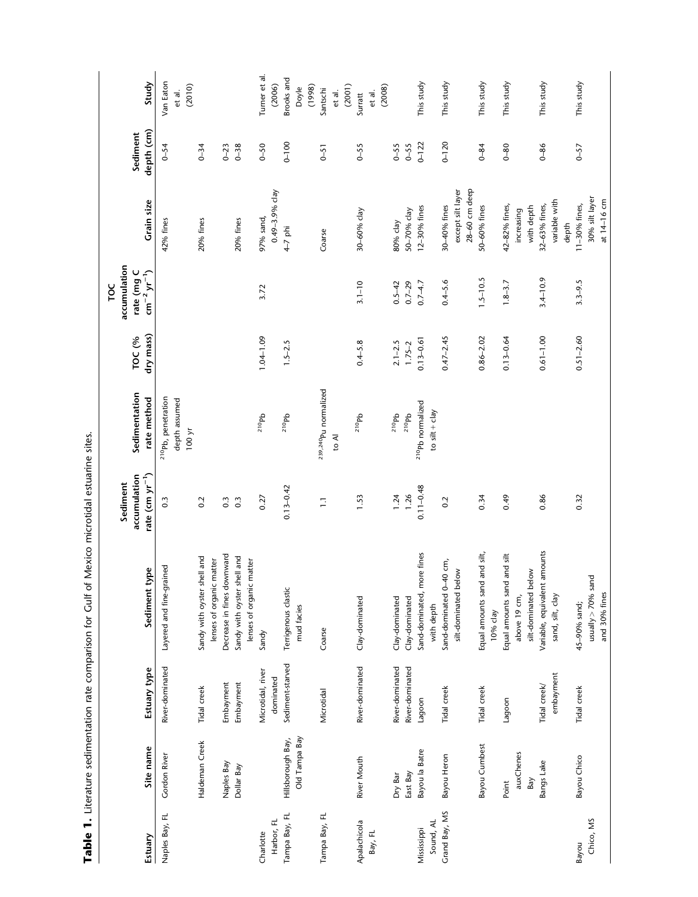|                            |                                       |                                              |                                                                           | Sediment                            |                                                                        |                                            | accumulation<br>TOC                            |                                                         |                                   |                               |
|----------------------------|---------------------------------------|----------------------------------------------|---------------------------------------------------------------------------|-------------------------------------|------------------------------------------------------------------------|--------------------------------------------|------------------------------------------------|---------------------------------------------------------|-----------------------------------|-------------------------------|
| Estuary                    | Site name                             | Estuary type                                 | Sediment type                                                             | rate $(cm yr^{-1})$<br>accumulation | Sedimentation<br>rate method                                           | dry mass)<br><b>TOC (%</b>                 | rate (mg C<br>$\text{cm}^{-2} \text{ yr}^{-1}$ | Grain size                                              | depth (cm)<br>Sediment            | Study                         |
| Naples Bay, FL             | Gordon River                          | River-dominated                              | Layered and fine-grained                                                  | $0.\overline{3}$                    | <sup>210</sup> Pb, penetration<br>depth assumed<br>$100 \text{ yr}$    |                                            |                                                | 42% fines                                               | $0 - 54$                          | Van Eaton<br>(2010)<br>et al. |
|                            | Haldeman Creek                        | Tidal creek                                  | Sandy with oyster shell and<br>lenses of organic matter                   | 0.2                                 |                                                                        |                                            |                                                | 20% fines                                               | $0 - 34$                          |                               |
|                            | Naples Bay                            | Embayment                                    | Decrease in fines downward                                                | $0.\overline{3}$                    |                                                                        |                                            |                                                |                                                         | $0 - 23$                          |                               |
|                            | Dollar Bay                            | Embayment                                    | Sandy with oyster shell and<br>lenses of organic matter                   | $0.\overline{3}$                    |                                                                        |                                            |                                                | 20% fines                                               | $0 - 38$                          |                               |
| Harbor, FL<br>Charlotte    |                                       | Microtidal, river<br>dominated               | Sandy                                                                     | 0.27                                | 210p <sub>b</sub>                                                      | $1.04 - 1.09$                              | 3.72                                           | $0.49 - 3.9%$ day<br>97% sand,                          | $0 - 50$                          | Turner et al.<br>(2006)       |
| Tampa Bay, FL              | Old Tampa Bay<br>Hillsborough Bay,    | Sediment-starved                             | Terrigenous clastic<br>mud facies                                         | $0.13 - 0.42$                       | 210p <sub>b</sub>                                                      | $1.5 - 2.5$                                |                                                | $4-7$ phi                                               | $0 - 100$                         | Brooks and<br>(1998)<br>Doyle |
| Tampa Bay, FL              |                                       | Microtidal                                   | Coarse                                                                    | $\overline{1}$ .                    | 239,240 pu normalized<br>to Al                                         |                                            |                                                | Coarse                                                  | $0 - 51$                          | (2001)<br>Santschi<br>et al.  |
| Apalachicola<br>Bay, FL    | River Mouth                           | River-dominated                              | Clay-dominated                                                            | 1.53                                | 210p <sub>b</sub>                                                      | $0.4 - 5.8$                                | $3.1 - 10$                                     | 30-60% clay                                             | $0 - 55$                          | (2008)<br>et al.<br>Surratt   |
| Mississippi                | Bayou la Batre<br>East Bay<br>Dry Bar | River-dominated<br>River-dominated<br>Lagoon | Sand-dominated, more fines<br>Clay-dominated<br>Clay-dominated            | $0.11 - 0.48$<br>1.26<br>1.24       | 210 <sub>pb</sub> normalized<br>210p <sub>b</sub><br>210p <sub>b</sub> | $0.13 - 0.61$<br>$2.1 - 2.5$<br>$1.75 - 2$ | $0.7 - 4.7$<br>$0.7 - 29$<br>$0.5 - 42$        | 12-30% fines<br>50-70% clay<br>80% clay                 | $0 - 122$<br>$0 - 55$<br>$0 - 55$ | This study                    |
| Grand Bay, MS<br>Sound, AL | Bayou Heron                           | Tidal creek                                  | Sand-dominated 0-40 cm,<br>silt-dominated below<br>with depth             | 0.2                                 | to $silt + clay$                                                       | $0.47 - 2.45$                              | $0.4 - 5.6$                                    | 28-60 cm deep<br>except silt layer<br>30-40% fines      | $0 - 120$                         | This study                    |
|                            | Bayou Cumbest                         | Tidal creek                                  | silt,<br>Equal amounts sand and<br>10% clay                               | 0.34                                |                                                                        | $0.86 - 2.02$                              | $1.5 - 10.5$                                   | 50-60% fines                                            | $0 - 84$                          | This study                    |
|                            | auxChenes<br>Bay<br>Point             | Lagoon                                       | $s$ ilt<br>Equal amounts sand and<br>silt-dominated below<br>above 19 cm, | 0.49                                |                                                                        | $0.13 - 0.64$                              | $1.8 - 3.7$                                    | 42-82% fines,<br>with depth<br>increasing               | $0 - 80$                          | This study                    |
|                            | Bangs Lake                            | embayment<br>Tidal creek/                    | Variable, equivalent amounts<br>sand, silt, clay                          | 0.86                                |                                                                        | $0.61 - 1.00$                              | $3.4 - 10.9$                                   | variable with<br>32-63% fines,                          | $0 - 86$                          | This study                    |
| Chico, MS<br>Bayou         | Bayou Chico                           | Tidal creek                                  | usually $>$ 70% sand<br>and 30% fines<br>45-90% sand;                     | 0.32                                |                                                                        | $0.51 - 2.60$                              | $3.3 - 9.5$                                    | 30% silt layer<br>at 14-16 cm<br>11-30% fines,<br>depth | $0 - 57$                          | This study                    |

Table 1. Literature sedimentation rate comparison for Gulf of Mexico microtidal estuarine sites. Table 1. Literature sedimentation rate comparison for Gulf of Mexico microtidal estuarine sites.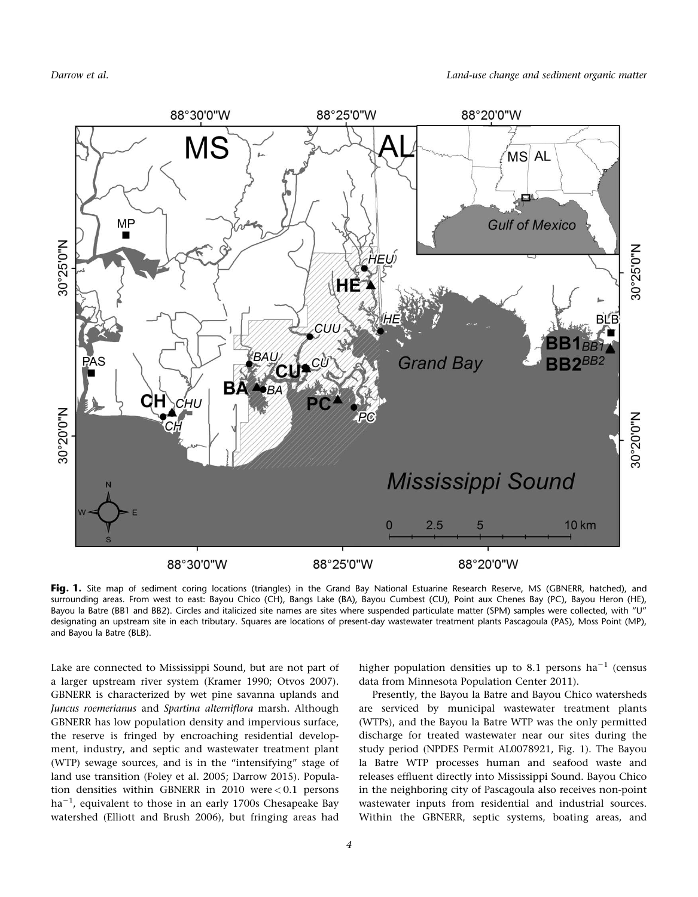

Fig. 1. Site map of sediment coring locations (triangles) in the Grand Bay National Estuarine Research Reserve, MS (GBNERR, hatched), and surrounding areas. From west to east: Bayou Chico (CH), Bangs Lake (BA), Bayou Cumbest (CU), Point aux Chenes Bay (PC), Bayou Heron (HE), Bayou la Batre (BB1 and BB2). Circles and italicized site names are sites where suspended particulate matter (SPM) samples were collected, with "U" designating an upstream site in each tributary. Squares are locations of present-day wastewater treatment plants Pascagoula (PAS), Moss Point (MP), and Bayou la Batre (BLB).

Lake are connected to Mississippi Sound, but are not part of a larger upstream river system (Kramer 1990; Otvos 2007). GBNERR is characterized by wet pine savanna uplands and Juncus roemerianus and Spartina alterniflora marsh. Although GBNERR has low population density and impervious surface, the reserve is fringed by encroaching residential development, industry, and septic and wastewater treatment plant (WTP) sewage sources, and is in the "intensifying" stage of land use transition (Foley et al. 2005; Darrow 2015). Population densities within GBNERR in 2010 were < 0.1 persons ha $^{-1}$ , equivalent to those in an early 1700s Chesapeake Bay watershed (Elliott and Brush 2006), but fringing areas had

higher population densities up to 8.1 persons  $ha^{-1}$  (census data from Minnesota Population Center 2011).

Presently, the Bayou la Batre and Bayou Chico watersheds are serviced by municipal wastewater treatment plants (WTPs), and the Bayou la Batre WTP was the only permitted discharge for treated wastewater near our sites during the study period (NPDES Permit AL0078921, Fig. 1). The Bayou la Batre WTP processes human and seafood waste and releases effluent directly into Mississippi Sound. Bayou Chico in the neighboring city of Pascagoula also receives non-point wastewater inputs from residential and industrial sources. Within the GBNERR, septic systems, boating areas, and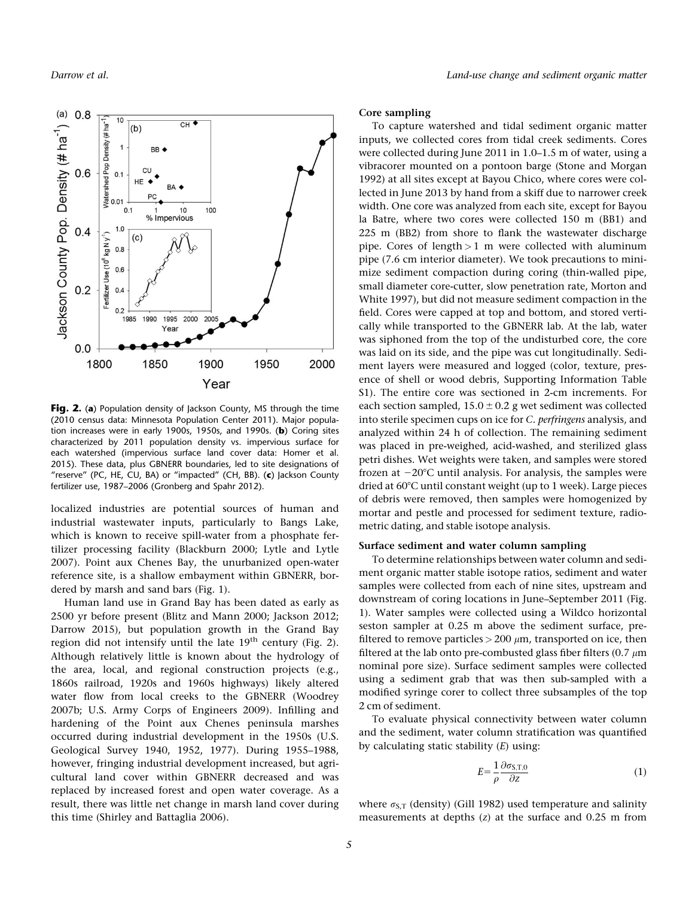

Fig. 2. (a) Population density of Jackson County, MS through the time (2010 census data: Minnesota Population Center 2011). Major population increases were in early 1900s, 1950s, and 1990s. (b) Coring sites characterized by 2011 population density vs. impervious surface for each watershed (impervious surface land cover data: Homer et al. 2015). These data, plus GBNERR boundaries, led to site designations of "reserve" (PC, HE, CU, BA) or "impacted" (CH, BB).  $(c)$  Jackson County fertilizer use, 1987–2006 (Gronberg and Spahr 2012).

localized industries are potential sources of human and industrial wastewater inputs, particularly to Bangs Lake, which is known to receive spill-water from a phosphate fertilizer processing facility (Blackburn 2000; Lytle and Lytle 2007). Point aux Chenes Bay, the unurbanized open-water reference site, is a shallow embayment within GBNERR, bordered by marsh and sand bars (Fig. 1).

Human land use in Grand Bay has been dated as early as 2500 yr before present (Blitz and Mann 2000; Jackson 2012; Darrow 2015), but population growth in the Grand Bay region did not intensify until the late  $19<sup>th</sup>$  century (Fig. 2). Although relatively little is known about the hydrology of the area, local, and regional construction projects (e.g., 1860s railroad, 1920s and 1960s highways) likely altered water flow from local creeks to the GBNERR (Woodrey 2007b; U.S. Army Corps of Engineers 2009). Infilling and hardening of the Point aux Chenes peninsula marshes occurred during industrial development in the 1950s (U.S. Geological Survey 1940, 1952, 1977). During 1955–1988, however, fringing industrial development increased, but agricultural land cover within GBNERR decreased and was replaced by increased forest and open water coverage. As a result, there was little net change in marsh land cover during this time (Shirley and Battaglia 2006).

#### Core sampling

To capture watershed and tidal sediment organic matter inputs, we collected cores from tidal creek sediments. Cores were collected during June 2011 in 1.0–1.5 m of water, using a vibracorer mounted on a pontoon barge (Stone and Morgan 1992) at all sites except at Bayou Chico, where cores were collected in June 2013 by hand from a skiff due to narrower creek width. One core was analyzed from each site, except for Bayou la Batre, where two cores were collected 150 m (BB1) and 225 m (BB2) from shore to flank the wastewater discharge pipe. Cores of length  $> 1$  m were collected with aluminum pipe (7.6 cm interior diameter). We took precautions to minimize sediment compaction during coring (thin-walled pipe, small diameter core-cutter, slow penetration rate, Morton and White 1997), but did not measure sediment compaction in the field. Cores were capped at top and bottom, and stored vertically while transported to the GBNERR lab. At the lab, water was siphoned from the top of the undisturbed core, the core was laid on its side, and the pipe was cut longitudinally. Sediment layers were measured and logged (color, texture, presence of shell or wood debris, Supporting Information Table S1). The entire core was sectioned in 2-cm increments. For each section sampled,  $15.0 \pm 0.2$  g wet sediment was collected into sterile specimen cups on ice for C. perfringens analysis, and analyzed within 24 h of collection. The remaining sediment was placed in pre-weighed, acid-washed, and sterilized glass petri dishes. Wet weights were taken, and samples were stored frozen at  $-20^{\circ}$ C until analysis. For analysis, the samples were dried at  $60^{\circ}$ C until constant weight (up to 1 week). Large pieces of debris were removed, then samples were homogenized by mortar and pestle and processed for sediment texture, radiometric dating, and stable isotope analysis.

#### Surface sediment and water column sampling

To determine relationships between water column and sediment organic matter stable isotope ratios, sediment and water samples were collected from each of nine sites, upstream and downstream of coring locations in June–September 2011 (Fig. 1). Water samples were collected using a Wildco horizontal seston sampler at 0.25 m above the sediment surface, prefiltered to remove particles  $>$  200  $\mu$ m, transported on ice, then filtered at the lab onto pre-combusted glass fiber filters (0.7  $\mu$ m nominal pore size). Surface sediment samples were collected using a sediment grab that was then sub-sampled with a modified syringe corer to collect three subsamples of the top 2 cm of sediment.

To evaluate physical connectivity between water column and the sediment, water column stratification was quantified by calculating static stability  $(E)$  using:

$$
E = \frac{1}{\rho} \frac{\partial \sigma_{S,T,0}}{\partial z} \tag{1}
$$

where  $\sigma_{S,T}$  (density) (Gill 1982) used temperature and salinity measurements at depths (z) at the surface and 0.25 m from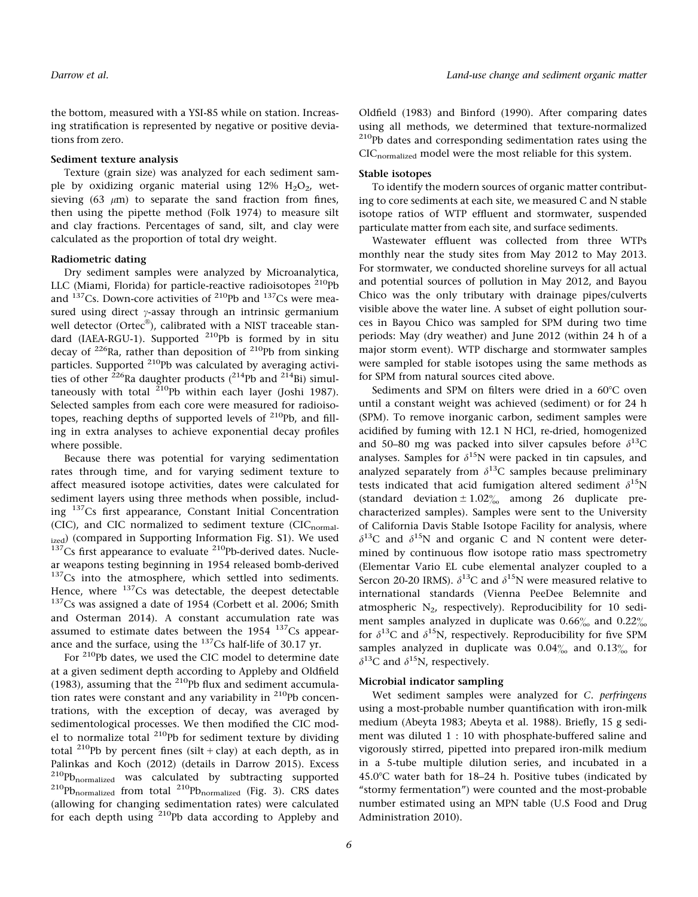the bottom, measured with a YSI-85 while on station. Increasing stratification is represented by negative or positive deviations from zero.

## Sediment texture analysis

Texture (grain size) was analyzed for each sediment sample by oxidizing organic material using  $12\%$  H<sub>2</sub>O<sub>2</sub>, wetsieving (63  $\mu$ m) to separate the sand fraction from fines, then using the pipette method (Folk 1974) to measure silt and clay fractions. Percentages of sand, silt, and clay were calculated as the proportion of total dry weight.

# Radiometric dating

Dry sediment samples were analyzed by Microanalytica, LLC (Miami, Florida) for particle-reactive radioisotopes 210Pb and <sup>137</sup>Cs. Down-core activities of <sup>210</sup>Pb and <sup>137</sup>Cs were measured using direct  $\gamma$ -assay through an intrinsic germanium well detector (Ortec $^{\circledast}$ ), calibrated with a NIST traceable standard (IAEA-RGU-1). Supported  $^{210}Pb$  is formed by in situ decay of 226Ra, rather than deposition of 210Pb from sinking particles. Supported <sup>210</sup>Pb was calculated by averaging activities of other <sup>226</sup>Ra daughter products ( $^{214}$ Pb and  $^{214}$ Bi) simultaneously with total  $^{210}$ Pb within each layer (Joshi 1987). Selected samples from each core were measured for radioisotopes, reaching depths of supported levels of  $210Pb$ , and filling in extra analyses to achieve exponential decay profiles where possible.

Because there was potential for varying sedimentation rates through time, and for varying sediment texture to affect measured isotope activities, dates were calculated for sediment layers using three methods when possible, including 137Cs first appearance, Constant Initial Concentration (CIC), and CIC normalized to sediment texture ( $CIC_{normal-  
ized}$ ) (compared in Supporting Information Fig. S1). We used  $137Cs$  first appearance to evaluate  $210Pb$ -derived dates. Nuclear weapons testing beginning in 1954 released bomb-derived <sup>137</sup>Cs into the atmosphere, which settled into sediments. Hence, where  $137Cs$  was detectable, the deepest detectable <sup>137</sup>Cs was assigned a date of 1954 (Corbett et al. 2006; Smith and Osterman 2014). A constant accumulation rate was assumed to estimate dates between the  $1954$   $^{137}Cs$  appearance and the surface, using the <sup>137</sup>Cs half-life of 30.17 yr.

For 210Pb dates, we used the CIC model to determine date at a given sediment depth according to Appleby and Oldfield (1983), assuming that the <sup>210</sup>Pb flux and sediment accumulation rates were constant and any variability in  $210Pb$  concentrations, with the exception of decay, was averaged by sedimentological processes. We then modified the CIC model to normalize total  $^{210}Pb$  for sediment texture by dividing total <sup>210</sup>Pb by percent fines (silt + clay) at each depth, as in Palinkas and Koch (2012) (details in Darrow 2015). Excess 2<sup>10</sup>Pb<sub>normalized</sub> was calculated by subtracting supported  $^{210}Pb_{normalized}$  from total  $^{210}Pb_{normalized}$  (Fig. 3). CRS dates (allowing for changing sedimentation rates) were calculated for each depth using  $^{210}Pb$  data according to Appleby and

Oldfield (1983) and Binford (1990). After comparing dates using all methods, we determined that texture-normalized <sup>210</sup>Pb dates and corresponding sedimentation rates using the CICnormalized model were the most reliable for this system.

#### Stable isotopes

To identify the modern sources of organic matter contributing to core sediments at each site, we measured C and N stable isotope ratios of WTP effluent and stormwater, suspended particulate matter from each site, and surface sediments.

Wastewater effluent was collected from three WTPs monthly near the study sites from May 2012 to May 2013. For stormwater, we conducted shoreline surveys for all actual and potential sources of pollution in May 2012, and Bayou Chico was the only tributary with drainage pipes/culverts visible above the water line. A subset of eight pollution sources in Bayou Chico was sampled for SPM during two time periods: May (dry weather) and June 2012 (within 24 h of a major storm event). WTP discharge and stormwater samples were sampled for stable isotopes using the same methods as for SPM from natural sources cited above.

Sediments and SPM on filters were dried in a  $60^{\circ}$ C oven until a constant weight was achieved (sediment) or for 24 h (SPM). To remove inorganic carbon, sediment samples were acidified by fuming with 12.1 N HCl, re-dried, homogenized and 50–80 mg was packed into silver capsules before  $\delta^{13}$ C analyses. Samples for  $\delta^{15}N$  were packed in tin capsules, and analyzed separately from  $\delta^{13}$ C samples because preliminary tests indicated that acid fumigation altered sediment  $\delta^{15}N$ (standard deviation  $\pm 1.02\%$  among 26 duplicate precharacterized samples). Samples were sent to the University of California Davis Stable Isotope Facility for analysis, where  $\delta^{13}$ C and  $\delta^{15}$ N and organic C and N content were determined by continuous flow isotope ratio mass spectrometry (Elementar Vario EL cube elemental analyzer coupled to a Sercon 20-20 IRMS).  $\delta^{13}$ C and  $\delta^{15}$ N were measured relative to international standards (Vienna PeeDee Belemnite and atmospheric  $N_2$ , respectively). Reproducibility for 10 sediment samples analyzed in duplicate was  $0.66\%$  and  $0.22\%$ for  $\delta^{13}$ C and  $\delta^{15}$ N, respectively. Reproducibility for five SPM samples analyzed in duplicate was  $0.04\%$  and  $0.13\%$  for  $\delta^{13}$ C and  $\delta^{15}$ N, respectively.

# Microbial indicator sampling

Wet sediment samples were analyzed for C. perfringens using a most-probable number quantification with iron-milk medium (Abeyta 1983; Abeyta et al. 1988). Briefly, 15 g sediment was diluted 1 : 10 with phosphate-buffered saline and vigorously stirred, pipetted into prepared iron-milk medium in a 5-tube multiple dilution series, and incubated in a  $45.0^{\circ}$ C water bath for 18–24 h. Positive tubes (indicated by "stormy fermentation") were counted and the most-probable number estimated using an MPN table (U.S Food and Drug Administration 2010).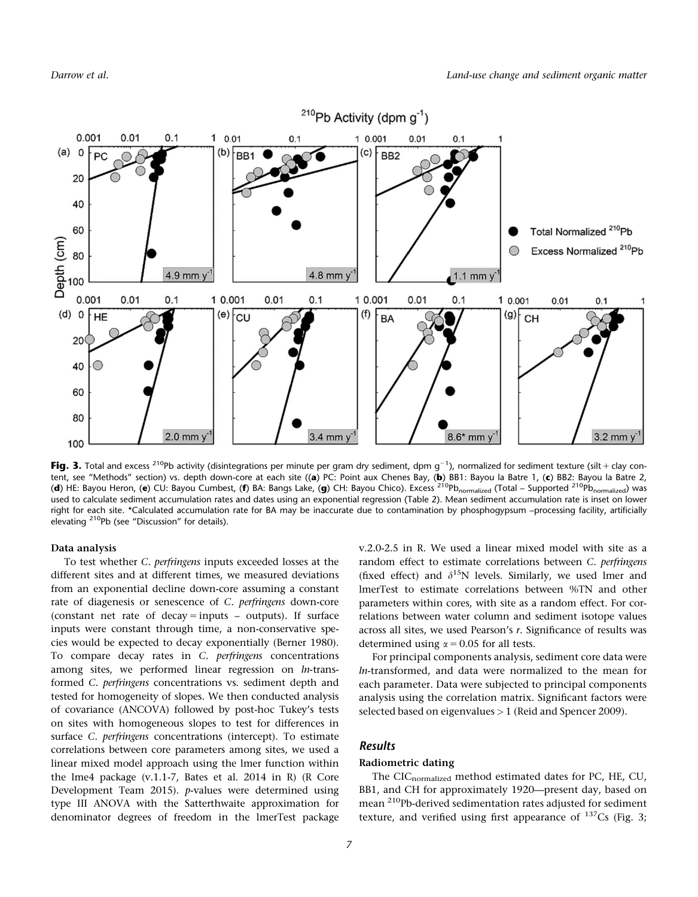

Fig. 3. Total and excess <sup>210</sup>Pb activity (disintegrations per minute per gram dry sediment, dpm g<sup>-1</sup>), normalized for sediment texture (silt + clay content, see "Methods" section) vs. depth down-core at each site ((a) PC: Point aux Chenes Bay, (b) BB1: Bayou la Batre 1, (c) BB2: Bayou la Batre 2, (d) HE: Bayou Heron, (e) CU: Bayou Cumbest, (f) BA: Bangs Lake, (g) CH: Bayou Chico). Excess <sup>210</sup>Pb<sub>normalized</sub> (Total – Supported <sup>210</sup>Pb<sub>normalized</sub>) was used to calculate sediment accumulation rates and dates using an exponential regression (Table 2). Mean sediment accumulation rate is inset on lower right for each site. \*Calculated accumulation rate for BA may be inaccurate due to contamination by phosphogypsum –processing facility, artificially elevating <sup>210</sup>Pb (see "Discussion" for details).

## Data analysis

To test whether C. perfringens inputs exceeded losses at the different sites and at different times, we measured deviations from an exponential decline down-core assuming a constant rate of diagenesis or senescence of C. perfringens down-core (constant net rate of decay  $=$  inputs – outputs). If surface inputs were constant through time, a non-conservative species would be expected to decay exponentially (Berner 1980). To compare decay rates in C. perfringens concentrations among sites, we performed linear regression on ln-transformed C. perfringens concentrations vs. sediment depth and tested for homogeneity of slopes. We then conducted analysis of covariance (ANCOVA) followed by post-hoc Tukey's tests on sites with homogeneous slopes to test for differences in surface C. perfringens concentrations (intercept). To estimate correlations between core parameters among sites, we used a linear mixed model approach using the lmer function within the lme4 package (v.1.1-7, Bates et al. 2014 in R) (R Core Development Team 2015). p-values were determined using type III ANOVA with the Satterthwaite approximation for denominator degrees of freedom in the lmerTest package

v.2.0-2.5 in R. We used a linear mixed model with site as a random effect to estimate correlations between C. perfringens (fixed effect) and  $\delta^{15}N$  levels. Similarly, we used lmer and lmerTest to estimate correlations between %TN and other parameters within cores, with site as a random effect. For correlations between water column and sediment isotope values across all sites, we used Pearson's r. Significance of results was determined using  $\alpha$  = 0.05 for all tests.

For principal components analysis, sediment core data were ln-transformed, and data were normalized to the mean for each parameter. Data were subjected to principal components analysis using the correlation matrix. Significant factors were selected based on eigenvalues > 1 (Reid and Spencer 2009).

# Results

#### Radiometric dating

The CIC<sub>normalized</sub> method estimated dates for PC, HE, CU, BB1, and CH for approximately 1920—present day, based on mean 210Pb-derived sedimentation rates adjusted for sediment texture, and verified using first appearance of  $^{137}Cs$  (Fig. 3;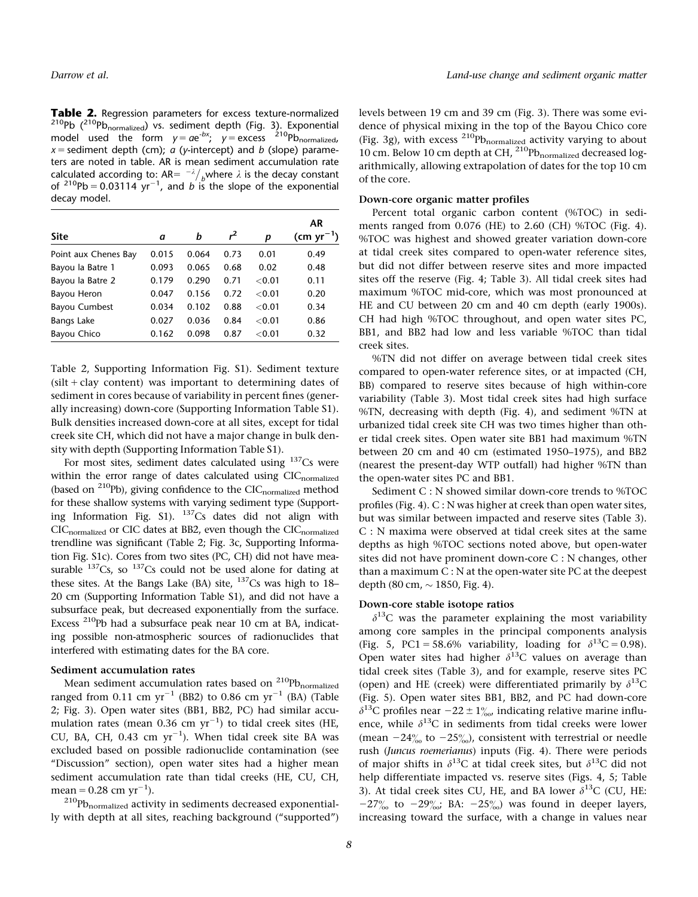**Table 2.** Regression parameters for excess texture-normalized  $^{210}Pb$  (<sup>210</sup>Pb<sub>normalized</sub>) vs. sediment depth (Fig. 3). Exponential model used the form  $y = ae^{-bx}$ ;  $y = exeess$   $2^{10}Pb_{normalized}$  $x =$  sediment depth (cm);  $a$  (y-intercept) and  $b$  (slope) parameters are noted in table. AR is mean sediment accumulation rate calculated according to:  $AR = \frac{-\lambda}{b}$  where  $\lambda$  is the decay constant of <sup>210</sup>Pb = 0.03114 yr<sup>-1</sup>, and b is the slope of the exponential decay model.

| <b>Site</b>          | a     | b     | 2    | р         | AR<br>$(cm yr^{-1})$ |
|----------------------|-------|-------|------|-----------|----------------------|
| Point aux Chenes Bay | 0.015 | 0.064 | 0.73 | 0.01      | 0.49                 |
| Bayou la Batre 1     | 0.093 | 0.065 | 0.68 | 0.02      | 0.48                 |
| Bayou la Batre 2     | 0.179 | 0.290 | 0.71 | < 0.01    | 0.11                 |
| Bayou Heron          | 0.047 | 0.156 | 0.72 | < 0.01    | 0.20                 |
| <b>Bayou Cumbest</b> | 0.034 | 0.102 | 0.88 | < 0.01    | 0.34                 |
| <b>Bangs Lake</b>    | 0.027 | 0.036 | 0.84 | < 0.01    | 0.86                 |
| Bayou Chico          | 0.162 | 0.098 | 0.87 | ${<}0.01$ | 0.32                 |

Table 2, Supporting Information Fig. S1). Sediment texture  $(silt + clay content)$  was important to determining dates of sediment in cores because of variability in percent fines (generally increasing) down-core (Supporting Information Table S1). Bulk densities increased down-core at all sites, except for tidal creek site CH, which did not have a major change in bulk density with depth (Supporting Information Table S1).

For most sites, sediment dates calculated using <sup>137</sup>Cs were within the error range of dates calculated using CIC<sub>normalized</sub> (based on  $^{210}Pb$ ), giving confidence to the CIC<sub>normalized</sub> method for these shallow systems with varying sediment type (Supporting Information Fig. S1).  $137Cs$  dates did not align with CIC<sub>normalized</sub> or CIC dates at BB2, even though the CIC<sub>normalized</sub> trendline was significant (Table 2; Fig. 3c, Supporting Information Fig. S1c). Cores from two sites (PC, CH) did not have measurable  $137Cs$ , so  $137Cs$  could not be used alone for dating at these sites. At the Bangs Lake (BA) site,  $137Cs$  was high to 18– 20 cm (Supporting Information Table S1), and did not have a subsurface peak, but decreased exponentially from the surface. Excess<sup>210</sup>Pb had a subsurface peak near 10 cm at BA, indicating possible non-atmospheric sources of radionuclides that interfered with estimating dates for the BA core.

## Sediment accumulation rates

Mean sediment accumulation rates based on  $^{210}Pb_{normalized}$ ranged from 0.11 cm  $yr^{-1}$  (BB2) to 0.86 cm  $yr^{-1}$  (BA) (Table 2; Fig. 3). Open water sites (BB1, BB2, PC) had similar accumulation rates (mean  $0.36$  cm yr<sup>-1</sup>) to tidal creek sites (HE, CU, BA, CH, 0.43 cm  $yr^{-1}$ ). When tidal creek site BA was excluded based on possible radionuclide contamination (see "Discussion" section), open water sites had a higher mean sediment accumulation rate than tidal creeks (HE, CU, CH, mean =  $0.28$  cm yr<sup>-1</sup>).

 $^{210}Pb_{normalized}$  activity in sediments decreased exponentially with depth at all sites, reaching background ("supported") levels between 19 cm and 39 cm (Fig. 3). There was some evidence of physical mixing in the top of the Bayou Chico core (Fig. 3g), with excess  $^{210}Pb$ <sub>normalized</sub> activity varying to about 10 cm. Below 10 cm depth at CH,  $^{210}Pb$ <sub>normalized</sub> decreased logarithmically, allowing extrapolation of dates for the top 10 cm of the core.

# Down-core organic matter profiles

Percent total organic carbon content (%TOC) in sediments ranged from 0.076 (HE) to 2.60 (CH) %TOC (Fig. 4). %TOC was highest and showed greater variation down-core at tidal creek sites compared to open-water reference sites, but did not differ between reserve sites and more impacted sites off the reserve (Fig. 4; Table 3). All tidal creek sites had maximum %TOC mid-core, which was most pronounced at HE and CU between 20 cm and 40 cm depth (early 1900s). CH had high %TOC throughout, and open water sites PC, BB1, and BB2 had low and less variable %TOC than tidal creek sites.

%TN did not differ on average between tidal creek sites compared to open-water reference sites, or at impacted (CH, BB) compared to reserve sites because of high within-core variability (Table 3). Most tidal creek sites had high surface %TN, decreasing with depth (Fig. 4), and sediment %TN at urbanized tidal creek site CH was two times higher than other tidal creek sites. Open water site BB1 had maximum %TN between 20 cm and 40 cm (estimated 1950–1975), and BB2 (nearest the present-day WTP outfall) had higher %TN than the open-water sites PC and BB1.

Sediment C : N showed similar down-core trends to %TOC profiles (Fig. 4). C : N was higher at creek than open water sites, but was similar between impacted and reserve sites (Table 3). C : N maxima were observed at tidal creek sites at the same depths as high %TOC sections noted above, but open-water sites did not have prominent down-core C : N changes, other than a maximum C : N at the open-water site PC at the deepest depth (80 cm,  $\sim$  1850, Fig. 4).

# Down-core stable isotope ratios

 $\delta^{13}$ C was the parameter explaining the most variability among core samples in the principal components analysis (Fig. 5, PC1 = 58.6% variability, loading for  $\delta^{13}C = 0.98$ ). Open water sites had higher  $\delta^{13}$ C values on average than tidal creek sites (Table 3), and for example, reserve sites PC (open) and HE (creek) were differentiated primarily by  $\delta^{13}C$ (Fig. 5). Open water sites BB1, BB2, and PC had down-core  $\delta^{13}$ C profiles near  $-22 \pm 1\%$ , indicating relative marine influence, while  $\delta^{13}C$  in sediments from tidal creeks were lower (mean  $-24\%$  to  $-25\%$ ), consistent with terrestrial or needle rush (Juncus roemerianus) inputs (Fig. 4). There were periods of major shifts in  $\delta^{13}$ C at tidal creek sites, but  $\delta^{13}$ C did not help differentiate impacted vs. reserve sites (Figs. 4, 5; Table 3). At tidal creek sites CU, HE, and BA lower  $\delta^{13}C$  (CU, HE:  $-27\%$  to  $-29\%$ ; BA:  $-25\%$  was found in deeper layers, increasing toward the surface, with a change in values near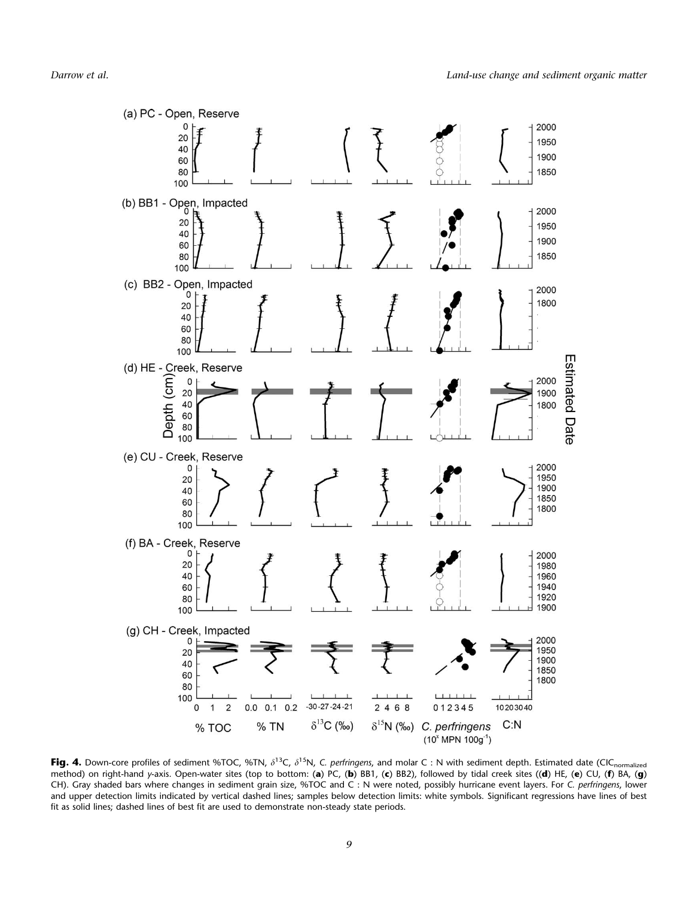

Fig. 4. Down-core profiles of sediment %TOC, %TN,  $\delta^{13}$ C,  $\delta^{15}$ N, C. perfringens, and molar C : N with sediment depth. Estimated date (CIC<sub>normalized</sub> method) on right-hand y-axis. Open-water sites (top to bottom: (a) PC, (b) BB1, (c) BB2), followed by tidal creek sites ((d) HE, (e) CU, (f) BA, (g) CH). Gray shaded bars where changes in sediment grain size, %TOC and C : N were noted, possibly hurricane event layers. For C. perfringens, lower and upper detection limits indicated by vertical dashed lines; samples below detection limits: white symbols. Significant regressions have lines of best fit as solid lines; dashed lines of best fit are used to demonstrate non-steady state periods.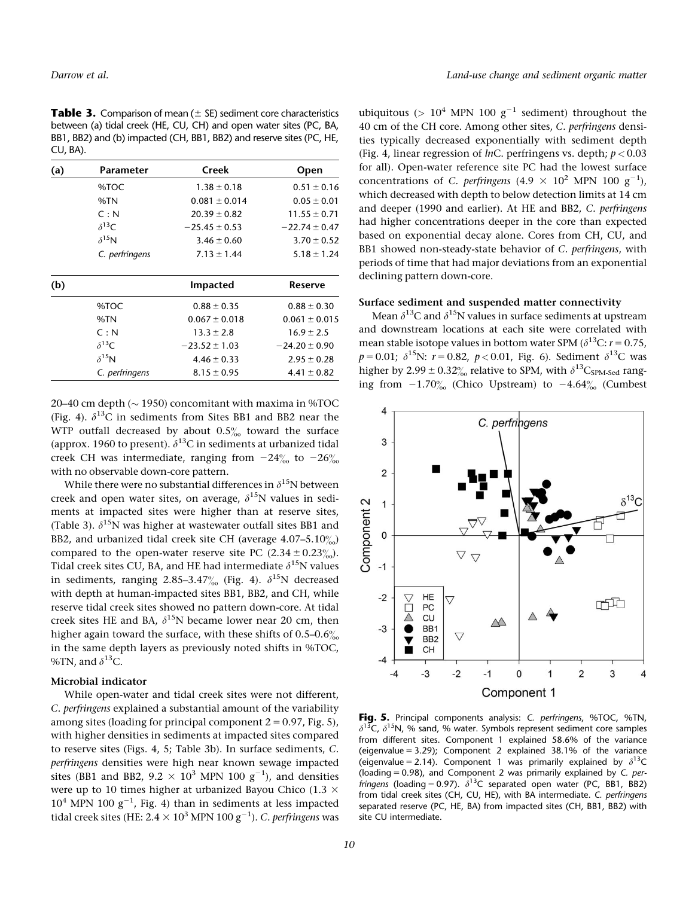**Table 3.** Comparison of mean  $(\pm$  SE) sediment core characteristics between (a) tidal creek (HE, CU, CH) and open water sites (PC, BA, BB1, BB2) and (b) impacted (CH, BB1, BB2) and reserve sites (PC, HE, CU, BA).

| (a) | <b>Parameter</b> | Creek             | Open              |
|-----|------------------|-------------------|-------------------|
|     | %TOC             | $1.38 \pm 0.18$   | $0.51 \pm 0.16$   |
|     | %TN              | $0.081 \pm 0.014$ | $0.05 \pm 0.01$   |
|     | C: N             | $20.39 \pm 0.82$  | $11.55 \pm 0.71$  |
|     | $\delta^{13}C$   | $-25.45 \pm 0.53$ | $-22.74 \pm 0.47$ |
|     | $\delta^{15}$ N  | $3.46 \pm 0.60$   | $3.70 \pm 0.52$   |
|     | C. perfringens   | $7.13 \pm 1.44$   | $5.18 \pm 1.24$   |
| (b) |                  | Impacted          | Reserve           |
|     | %TOC             | $0.88 \pm 0.35$   | $0.88 \pm 0.30$   |
|     | %TN              | $0.067 \pm 0.018$ | $0.061 \pm 0.015$ |
|     | C: N             | $13.3 \pm 2.8$    | $16.9 \pm 2.5$    |
|     | $\delta^{13}C$   | $-23.52 \pm 1.03$ | $-24.20 \pm 0.90$ |
|     | $\delta^{15}$ N  | $4.46 \pm 0.33$   | $2.95 \pm 0.28$   |
|     | C. perfringens   | $8.15 \pm 0.95$   | $4.41 \pm 0.82$   |

20–40 cm depth ( $\sim$  1950) concomitant with maxima in %TOC (Fig. 4).  $\delta^{13}$ C in sediments from Sites BB1 and BB2 near the WTP outfall decreased by about  $0.5\%$  toward the surface (approx. 1960 to present).  $\delta^{13}$ C in sediments at urbanized tidal creek CH was intermediate, ranging from  $-24\%$  to  $-26\%$ with no observable down-core pattern.

While there were no substantial differences in  $\delta^{15}N$  between creek and open water sites, on average,  $\delta^{15}$ N values in sediments at impacted sites were higher than at reserve sites, (Table 3).  $\delta^{15}N$  was higher at wastewater outfall sites BB1 and BB2, and urbanized tidal creek site CH (average  $4.07-5.10\%$ ) compared to the open-water reserve site PC  $(2.34 \pm 0.23\%)$ . Tidal creek sites CU, BA, and HE had intermediate  $\delta^{15}N$  values in sediments, ranging 2.85–3.47% (Fig. 4).  $\delta^{15}N$  decreased with depth at human-impacted sites BB1, BB2, and CH, while reserve tidal creek sites showed no pattern down-core. At tidal creek sites HE and BA,  $\delta^{15}N$  became lower near 20 cm, then higher again toward the surface, with these shifts of  $0.5-0.6\%$ in the same depth layers as previously noted shifts in %TOC, %TN, and  $\delta^{13}$ C.

#### Microbial indicator

While open-water and tidal creek sites were not different, C. perfringens explained a substantial amount of the variability among sites (loading for principal component  $2 = 0.97$ , Fig. 5), with higher densities in sediments at impacted sites compared to reserve sites (Figs. 4, 5; Table 3b). In surface sediments, C. perfringens densities were high near known sewage impacted sites (BB1 and BB2, 9.2  $\times$  10<sup>3</sup> MPN 100  $\rm{g}^{-1}$ ), and densities were up to 10 times higher at urbanized Bayou Chico (1.3  $\times$  $10^4$  MPN 100  $g^{-1}$ , Fig. 4) than in sediments at less impacted tidal creek sites (HE: 2.4  $\times$  10<sup>3</sup> MPN 100 g<sup>-1</sup>). *C. perfringens* was

ubiquitous (>  $10^4$  MPN 100  $g^{-1}$  sediment) throughout the 40 cm of the CH core. Among other sites, C. perfringens densities typically decreased exponentially with sediment depth (Fig. 4, linear regression of lnC. perfringens vs. depth;  $p < 0.03$ for all). Open-water reference site PC had the lowest surface concentrations of *C. perfringens* (4.9  $\times$  10<sup>2</sup> MPN 100 g<sup>-1</sup>), which decreased with depth to below detection limits at 14 cm and deeper (1990 and earlier). At HE and BB2, C. perfringens had higher concentrations deeper in the core than expected based on exponential decay alone. Cores from CH, CU, and BB1 showed non-steady-state behavior of C. perfringens, with periods of time that had major deviations from an exponential declining pattern down-core.

## Surface sediment and suspended matter connectivity

Mean  $\delta^{13}$ C and  $\delta^{15}$ N values in surface sediments at upstream and downstream locations at each site were correlated with mean stable isotope values in bottom water SPM ( $\delta^{13}C$ :  $r = 0.75$ ,  $p = 0.01$ ;  $\delta^{15}N$ :  $r = 0.82$ ,  $p < 0.01$ , Fig. 6). Sediment  $\delta^{13}C$  was higher by 2.99  $\pm$  0.32% relative to SPM, with  $\delta^{13}C_{SPM-Sed}$  ranging from  $-1.70\%$  (Chico Upstream) to  $-4.64\%$  (Cumbest



Fig. 5. Principal components analysis: C. perfringens, %TOC, %TN,  $\delta^{13}$ C,  $\delta^{15}$ N, % sand, % water. Symbols represent sediment core samples from different sites. Component 1 explained 58.6% of the variance (eigenvalue =  $3.29$ ); Component 2 explained  $38.1\%$  of the variance (eigenvalue = 2.14). Component 1 was primarily explained by  $\delta^{13}C$ (loading  $= 0.98$ ), and Component 2 was primarily explained by C. perfringens (loading = 0.97).  $\delta^{13}$ C separated open water (PC, BB1, BB2) from tidal creek sites (CH, CU, HE), with BA intermediate. C. perfringens separated reserve (PC, HE, BA) from impacted sites (CH, BB1, BB2) with site CU intermediate.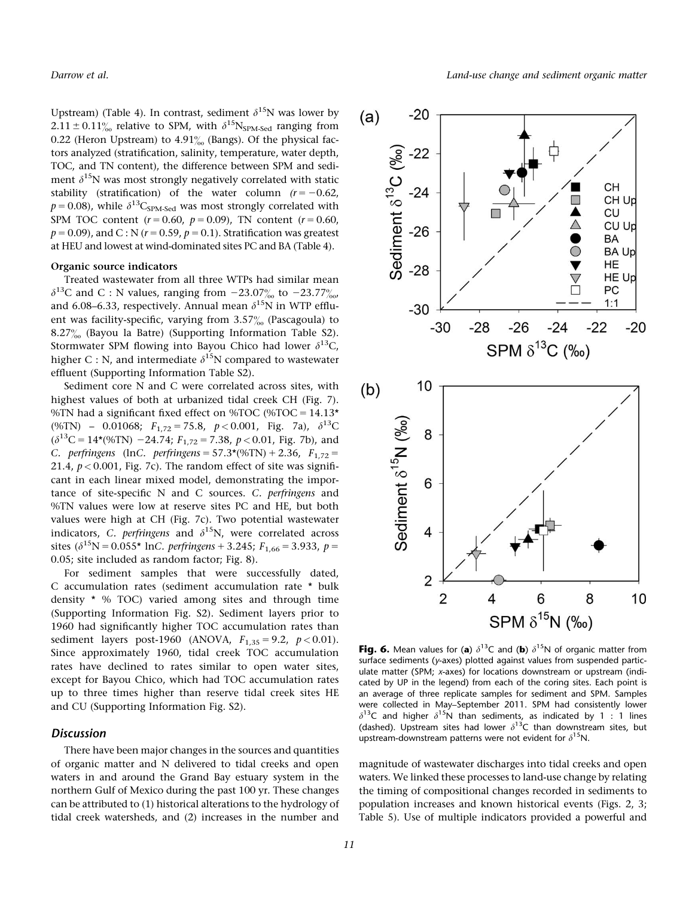Upstream) (Table 4). In contrast, sediment  $\delta^{15}N$  was lower by  $2.11 \pm 0.11\%$  relative to SPM, with  $\delta^{15}N_{SPM-Sed}$  ranging from 0.22 (Heron Upstream) to  $4.91\%$  (Bangs). Of the physical factors analyzed (stratification, salinity, temperature, water depth, TOC, and TN content), the difference between SPM and sediment  $\delta^{15}N$  was most strongly negatively correlated with static stability (stratification) of the water column  $(r = -0.62,$  $p = 0.08$ ), while  $\delta^{13}C_{SPM-Sed}$  was most strongly correlated with SPM TOC content ( $r = 0.60$ ,  $p = 0.09$ ), TN content ( $r = 0.60$ ,  $p = 0.09$ ), and C : N ( $r = 0.59$ ,  $p = 0.1$ ). Stratification was greatest at HEU and lowest at wind-dominated sites PC and BA (Table 4).

# Organic source indicators

Treated wastewater from all three WTPs had similar mean  $\delta^{13}$ C and C : N values, ranging from  $-23.07\%$  to  $-23.77\%$ and 6.08–6.33, respectively. Annual mean  $\delta^{15}N$  in WTP effluent was facility-specific, varying from  $3.57\%$  (Pascagoula) to  $8.27\%$  (Bayou la Batre) (Supporting Information Table S2). Stormwater SPM flowing into Bayou Chico had lower  $\delta^{13}C$ , higher C : N, and intermediate  $\delta^{15}N$  compared to wastewater effluent (Supporting Information Table S2).

Sediment core N and C were correlated across sites, with highest values of both at urbanized tidal creek CH (Fig. 7). %TN had a significant fixed effect on %TOC (%TOC =  $14.13*$ (%TN) – 0.01068;  $F_{1,72} = 75.8$ ,  $p < 0.001$ , Fig. 7a),  $\delta^{13}C$  $(\delta^{13}C = 14^{\star}(\% \text{TN}) - 24.74; F_{1,72} = 7.38, p < 0.01$ , Fig. 7b), and C. perfringens (lnC. perfringens =  $57.3*(\%TN) + 2.36$ ,  $F_{1,72} =$ 21.4,  $p < 0.001$ , Fig. 7c). The random effect of site was significant in each linear mixed model, demonstrating the importance of site-specific N and C sources. C. perfringens and %TN values were low at reserve sites PC and HE, but both values were high at CH (Fig. 7c). Two potential wastewater indicators, C. perfringens and  $\delta^{15}N$ , were correlated across sites  $(\delta^{15}N = 0.055*$  ln*C. perfringens* + 3.245;  $F_{1,66} = 3.933$ ,  $p =$ 0.05; site included as random factor; Fig. 8).

For sediment samples that were successfully dated, C accumulation rates (sediment accumulation rate \* bulk density \* % TOC) varied among sites and through time (Supporting Information Fig. S2). Sediment layers prior to 1960 had significantly higher TOC accumulation rates than sediment layers post-1960 (ANOVA,  $F_{1,35} = 9.2$ ,  $p < 0.01$ ). Since approximately 1960, tidal creek TOC accumulation rates have declined to rates similar to open water sites, except for Bayou Chico, which had TOC accumulation rates up to three times higher than reserve tidal creek sites HE and CU (Supporting Information Fig. S2).

# **Discussion**

There have been major changes in the sources and quantities of organic matter and N delivered to tidal creeks and open waters in and around the Grand Bay estuary system in the northern Gulf of Mexico during the past 100 yr. These changes can be attributed to (1) historical alterations to the hydrology of tidal creek watersheds, and (2) increases in the number and



**Fig. 6.** Mean values for (a)  $\delta^{13}$ C and (b)  $\delta^{15}$ N of organic matter from surface sediments (y-axes) plotted against values from suspended particulate matter (SPM; x-axes) for locations downstream or upstream (indicated by UP in the legend) from each of the coring sites. Each point is an average of three replicate samples for sediment and SPM. Samples were collected in May–September 2011. SPM had consistently lower  $\delta^{13}$ C and higher  $\delta^{15}$ N than sediments, as indicated by 1 : 1 lines (dashed). Upstream sites had lower  $\delta^{13}$ C than downstream sites, but upstream-downstream patterns were not evident for  $\delta^{15}N$ .

magnitude of wastewater discharges into tidal creeks and open waters. We linked these processes to land-use change by relating the timing of compositional changes recorded in sediments to population increases and known historical events (Figs. 2, 3; Table 5). Use of multiple indicators provided a powerful and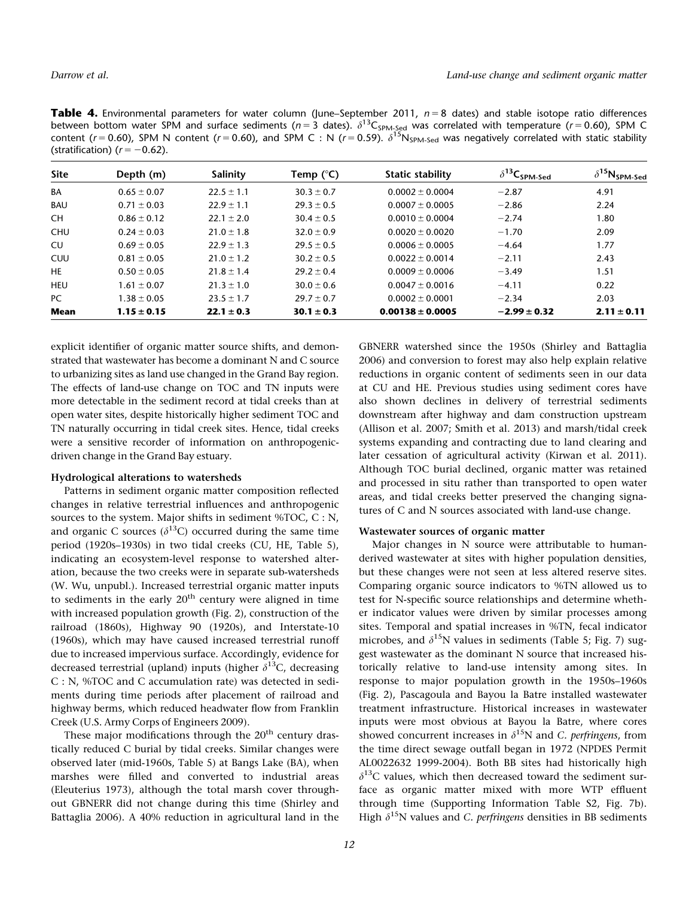Table 4. Environmental parameters for water column (June–September 2011,  $n = 8$  dates) and stable isotope ratio differences between bottom water SPM and surface sediments ( $n=3$  dates).  $\delta^{13}C_{\rm SPM\text{-}Sed}$  was correlated with temperature ( $r=0.60$ ), SPM C content (r = 0.60), SPM N content (r = 0.60), and SPM C : N (r = 0.59).  $\delta^{15}N_{\rm SPM-Sed}$  was negatively correlated with static stability (stratification) ( $r = -0.62$ ).

| <b>Site</b> | Depth (m)       | Salinity       | Temp (°C)      | <b>Static stability</b> | $\delta^{13} \textsf{C}_{\mathsf{SPM}\text{-}\mathsf{Sed}}$ | $\delta^{15} \mathsf{N}_{\mathsf{SPM}\text{-}\mathsf{Sec}'}$ |
|-------------|-----------------|----------------|----------------|-------------------------|-------------------------------------------------------------|--------------------------------------------------------------|
| BA          | $0.65 \pm 0.07$ | $22.5 \pm 1.1$ | $30.3 \pm 0.7$ | $0.0002 \pm 0.0004$     | $-2.87$                                                     | 4.91                                                         |
| BAU         | $0.71 \pm 0.03$ | $22.9 \pm 1.1$ | $29.3 \pm 0.5$ | $0.0007 \pm 0.0005$     | $-2.86$                                                     | 2.24                                                         |
| <b>CH</b>   | $0.86 \pm 0.12$ | $22.1 \pm 2.0$ | $30.4 \pm 0.5$ | $0.0010 \pm 0.0004$     | $-2.74$                                                     | 1.80                                                         |
| <b>CHU</b>  | $0.24 \pm 0.03$ | $21.0 \pm 1.8$ | $32.0 \pm 0.9$ | $0.0020 \pm 0.0020$     | $-1.70$                                                     | 2.09                                                         |
| <b>CU</b>   | $0.69 \pm 0.05$ | $22.9 + 1.3$   | $29.5 \pm 0.5$ | $0.0006 \pm 0.0005$     | $-4.64$                                                     | 1.77                                                         |
| <b>CUU</b>  | $0.81 \pm 0.05$ | $21.0 \pm 1.2$ | $30.2 \pm 0.5$ | $0.0022 \pm 0.0014$     | $-2.11$                                                     | 2.43                                                         |
| HE.         | $0.50 \pm 0.05$ | $21.8 \pm 1.4$ | $29.2 \pm 0.4$ | $0.0009 \pm 0.0006$     | $-3.49$                                                     | 1.51                                                         |
| <b>HEU</b>  | $1.61 \pm 0.07$ | $21.3 \pm 1.0$ | $30.0 \pm 0.6$ | $0.0047 \pm 0.0016$     | $-4.11$                                                     | 0.22                                                         |
| PC          | $1.38 \pm 0.05$ | $23.5 \pm 1.7$ | $29.7 \pm 0.7$ | $0.0002 \pm 0.0001$     | $-2.34$                                                     | 2.03                                                         |
| Mean        | $1.15 \pm 0.15$ | $22.1 \pm 0.3$ | $30.1 \pm 0.3$ | $0.00138 \pm 0.0005$    | $-2.99 \pm 0.32$                                            | $2.11 \pm 0.11$                                              |

explicit identifier of organic matter source shifts, and demonstrated that wastewater has become a dominant N and C source to urbanizing sites as land use changed in the Grand Bay region. The effects of land-use change on TOC and TN inputs were more detectable in the sediment record at tidal creeks than at open water sites, despite historically higher sediment TOC and TN naturally occurring in tidal creek sites. Hence, tidal creeks were a sensitive recorder of information on anthropogenicdriven change in the Grand Bay estuary.

#### Hydrological alterations to watersheds

Patterns in sediment organic matter composition reflected changes in relative terrestrial influences and anthropogenic sources to the system. Major shifts in sediment %TOC, C : N, and organic C sources ( $\delta^{13}$ C) occurred during the same time period (1920s–1930s) in two tidal creeks (CU, HE, Table 5), indicating an ecosystem-level response to watershed alteration, because the two creeks were in separate sub-watersheds (W. Wu, unpubl.). Increased terrestrial organic matter inputs to sediments in the early  $20<sup>th</sup>$  century were aligned in time with increased population growth (Fig. 2), construction of the railroad (1860s), Highway 90 (1920s), and Interstate-10 (1960s), which may have caused increased terrestrial runoff due to increased impervious surface. Accordingly, evidence for decreased terrestrial (upland) inputs (higher  $\delta^{13}C$ , decreasing C : N, %TOC and C accumulation rate) was detected in sediments during time periods after placement of railroad and highway berms, which reduced headwater flow from Franklin Creek (U.S. Army Corps of Engineers 2009).

These major modifications through the  $20<sup>th</sup>$  century drastically reduced C burial by tidal creeks. Similar changes were observed later (mid-1960s, Table 5) at Bangs Lake (BA), when marshes were filled and converted to industrial areas (Eleuterius 1973), although the total marsh cover throughout GBNERR did not change during this time (Shirley and Battaglia 2006). A 40% reduction in agricultural land in the GBNERR watershed since the 1950s (Shirley and Battaglia 2006) and conversion to forest may also help explain relative reductions in organic content of sediments seen in our data at CU and HE. Previous studies using sediment cores have also shown declines in delivery of terrestrial sediments downstream after highway and dam construction upstream (Allison et al. 2007; Smith et al. 2013) and marsh/tidal creek systems expanding and contracting due to land clearing and later cessation of agricultural activity (Kirwan et al. 2011). Although TOC burial declined, organic matter was retained and processed in situ rather than transported to open water areas, and tidal creeks better preserved the changing signatures of C and N sources associated with land-use change.

#### Wastewater sources of organic matter

Major changes in N source were attributable to humanderived wastewater at sites with higher population densities, but these changes were not seen at less altered reserve sites. Comparing organic source indicators to %TN allowed us to test for N-specific source relationships and determine whether indicator values were driven by similar processes among sites. Temporal and spatial increases in %TN, fecal indicator microbes, and  $\delta^{15}N$  values in sediments (Table 5; Fig. 7) suggest wastewater as the dominant N source that increased historically relative to land-use intensity among sites. In response to major population growth in the 1950s–1960s (Fig. 2), Pascagoula and Bayou la Batre installed wastewater treatment infrastructure. Historical increases in wastewater inputs were most obvious at Bayou la Batre, where cores showed concurrent increases in  $\delta^{15}N$  and C. perfringens, from the time direct sewage outfall began in 1972 (NPDES Permit AL0022632 1999-2004). Both BB sites had historically high  $\delta^{13}$ C values, which then decreased toward the sediment surface as organic matter mixed with more WTP effluent through time (Supporting Information Table S2, Fig. 7b). High  $\delta^{15}N$  values and C. perfringens densities in BB sediments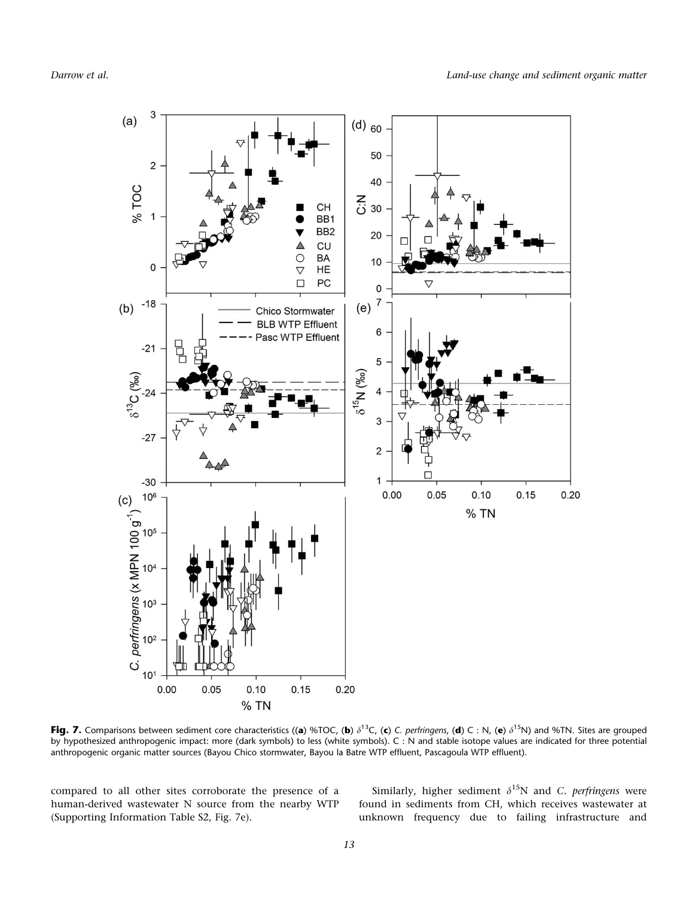

Fig. 7. Comparisons between sediment core characteristics ((a) %TOC, (b)  $\delta^{13}$ C, (c) C. perfringens, (d) C : N, (e)  $\delta^{15}$ N) and %TN. Sites are grouped by hypothesized anthropogenic impact: more (dark symbols) to less (white symbols). C : N and stable isotope values are indicated for three potential anthropogenic organic matter sources (Bayou Chico stormwater, Bayou la Batre WTP effluent, Pascagoula WTP effluent).

compared to all other sites corroborate the presence of a human-derived wastewater N source from the nearby WTP (Supporting Information Table S2, Fig. 7e).

Similarly, higher sediment  $\delta^{15}N$  and C. perfringens were found in sediments from CH, which receives wastewater at unknown frequency due to failing infrastructure and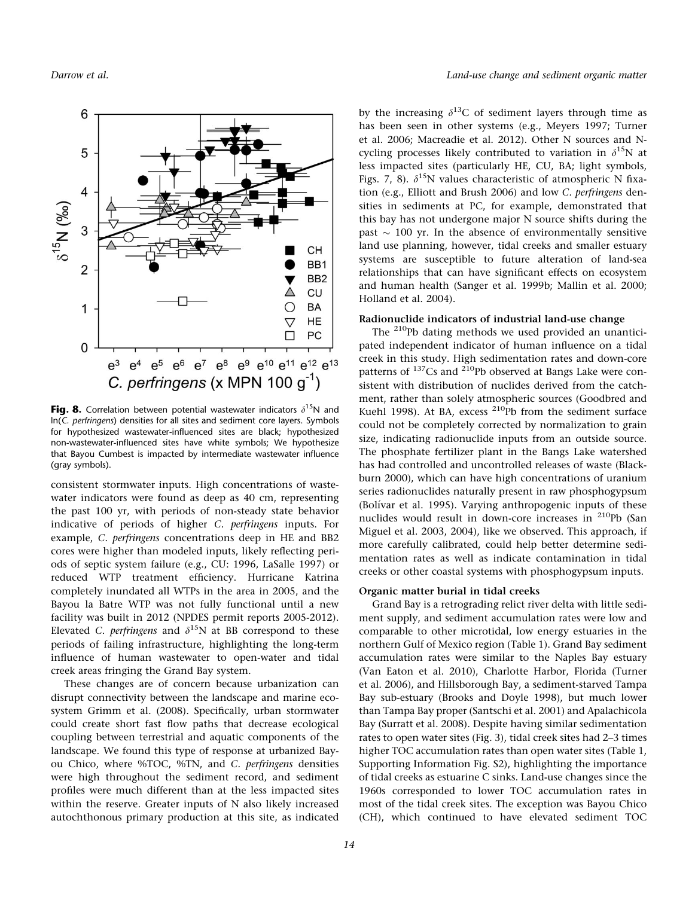

**Fig. 8.** Correlation between potential wastewater indicators  $\delta^{15}N$  and ln(C. perfringens) densities for all sites and sediment core layers. Symbols for hypothesized wastewater-influenced sites are black; hypothesized non-wastewater-influenced sites have white symbols; We hypothesize that Bayou Cumbest is impacted by intermediate wastewater influence (gray symbols).

consistent stormwater inputs. High concentrations of wastewater indicators were found as deep as 40 cm, representing the past 100 yr, with periods of non-steady state behavior indicative of periods of higher C. perfringens inputs. For example, C. perfringens concentrations deep in HE and BB2 cores were higher than modeled inputs, likely reflecting periods of septic system failure (e.g., CU: 1996, LaSalle 1997) or reduced WTP treatment efficiency. Hurricane Katrina completely inundated all WTPs in the area in 2005, and the Bayou la Batre WTP was not fully functional until a new facility was built in 2012 (NPDES permit reports 2005-2012). Elevated C. perfringens and  $\delta^{15}N$  at BB correspond to these periods of failing infrastructure, highlighting the long-term influence of human wastewater to open-water and tidal creek areas fringing the Grand Bay system.

These changes are of concern because urbanization can disrupt connectivity between the landscape and marine ecosystem Grimm et al. (2008). Specifically, urban stormwater could create short fast flow paths that decrease ecological coupling between terrestrial and aquatic components of the landscape. We found this type of response at urbanized Bayou Chico, where %TOC, %TN, and C. perfringens densities were high throughout the sediment record, and sediment profiles were much different than at the less impacted sites within the reserve. Greater inputs of N also likely increased autochthonous primary production at this site, as indicated by the increasing  $\delta^{13}$ C of sediment layers through time as has been seen in other systems (e.g., Meyers 1997; Turner et al. 2006; Macreadie et al. 2012). Other N sources and Ncycling processes likely contributed to variation in  $\delta^{15}N$  at less impacted sites (particularly HE, CU, BA; light symbols, Figs. 7, 8).  $\delta^{15}N$  values characteristic of atmospheric N fixation (e.g., Elliott and Brush 2006) and low C. perfringens densities in sediments at PC, for example, demonstrated that this bay has not undergone major N source shifts during the past  $\sim$  100 yr. In the absence of environmentally sensitive land use planning, however, tidal creeks and smaller estuary systems are susceptible to future alteration of land-sea relationships that can have significant effects on ecosystem and human health (Sanger et al. 1999b; Mallin et al. 2000; Holland et al. 2004).

#### Radionuclide indicators of industrial land-use change

The <sup>210</sup>Pb dating methods we used provided an unanticipated independent indicator of human influence on a tidal creek in this study. High sedimentation rates and down-core patterns of <sup>137</sup>Cs and <sup>210</sup>Pb observed at Bangs Lake were consistent with distribution of nuclides derived from the catchment, rather than solely atmospheric sources (Goodbred and Kuehl 1998). At BA, excess <sup>210</sup>Pb from the sediment surface could not be completely corrected by normalization to grain size, indicating radionuclide inputs from an outside source. The phosphate fertilizer plant in the Bangs Lake watershed has had controlled and uncontrolled releases of waste (Blackburn 2000), which can have high concentrations of uranium series radionuclides naturally present in raw phosphogypsum (Bolívar et al. 1995). Varying anthropogenic inputs of these nuclides would result in down-core increases in 210Pb (San Miguel et al. 2003, 2004), like we observed. This approach, if more carefully calibrated, could help better determine sedimentation rates as well as indicate contamination in tidal creeks or other coastal systems with phosphogypsum inputs.

#### Organic matter burial in tidal creeks

Grand Bay is a retrograding relict river delta with little sediment supply, and sediment accumulation rates were low and comparable to other microtidal, low energy estuaries in the northern Gulf of Mexico region (Table 1). Grand Bay sediment accumulation rates were similar to the Naples Bay estuary (Van Eaton et al. 2010), Charlotte Harbor, Florida (Turner et al. 2006), and Hillsborough Bay, a sediment-starved Tampa Bay sub-estuary (Brooks and Doyle 1998), but much lower than Tampa Bay proper (Santschi et al. 2001) and Apalachicola Bay (Surratt et al. 2008). Despite having similar sedimentation rates to open water sites (Fig. 3), tidal creek sites had 2–3 times higher TOC accumulation rates than open water sites (Table 1, Supporting Information Fig. S2), highlighting the importance of tidal creeks as estuarine C sinks. Land-use changes since the 1960s corresponded to lower TOC accumulation rates in most of the tidal creek sites. The exception was Bayou Chico (CH), which continued to have elevated sediment TOC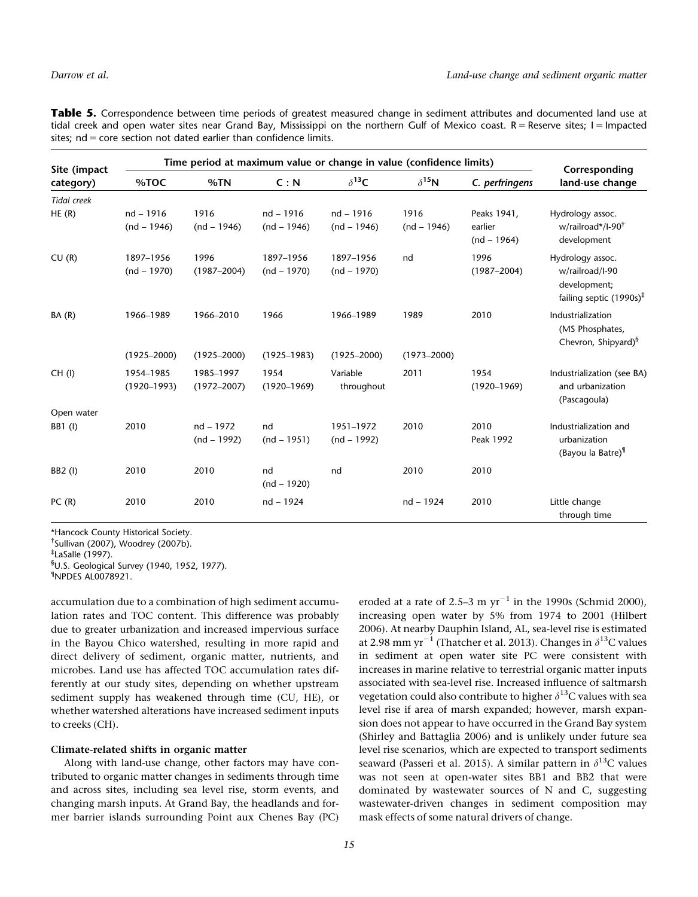Table 5. Correspondence between time periods of greatest measured change in sediment attributes and documented land use at tidal creek and open water sites near Grand Bay, Mississippi on the northern Gulf of Mexico coast.  $R =$ Reserve sites;  $I =$ Impacted sites;  $nd = core section not dated earlier than confidence limits.$ 

| Site (impact       | Time period at maximum value or change in value (confidence limits) |                              |                              |                              |                       |                                         | Corresponding                                                                              |
|--------------------|---------------------------------------------------------------------|------------------------------|------------------------------|------------------------------|-----------------------|-----------------------------------------|--------------------------------------------------------------------------------------------|
| category)          | %TOC                                                                | %TN                          | C: N                         | $\delta^{13}C$               | $\delta^{15}N$        | C. perfringens                          | land-use change                                                                            |
| <b>Tidal</b> creek |                                                                     |                              |                              |                              |                       |                                         |                                                                                            |
| HE(R)              | $nd - 1916$<br>$(nd - 1946)$                                        | 1916<br>$(nd - 1946)$        | $nd - 1916$<br>$(nd - 1946)$ | $nd - 1916$<br>$(nd - 1946)$ | 1916<br>$(nd - 1946)$ | Peaks 1941,<br>earlier<br>$(nd - 1964)$ | Hydrology assoc.<br>w/railroad*/I-90 <sup>†</sup><br>development                           |
| CU(R)              | 1897-1956<br>$(nd - 1970)$                                          | 1996<br>$(1987 - 2004)$      | 1897-1956<br>$(nd - 1970)$   | 1897-1956<br>$(nd - 1970)$   | nd                    | 1996<br>$(1987 - 2004)$                 | Hydrology assoc.<br>w/railroad/I-90<br>development;<br>failing septic $(1990s)^{\ddagger}$ |
| BA(R)              | 1966-1989                                                           | 1966-2010                    | 1966                         | 1966-1989                    | 1989                  | 2010                                    | Industrialization<br>(MS Phosphates,<br>Chevron, Shipyard) <sup>§</sup>                    |
|                    | $(1925 - 2000)$                                                     | $(1925 - 2000)$              | $(1925 - 1983)$              | $(1925 - 2000)$              | $(1973 - 2000)$       |                                         |                                                                                            |
| CH (I)             | 1954-1985<br>$(1920 - 1993)$                                        | 1985-1997<br>$(1972 - 2007)$ | 1954<br>$(1920 - 1969)$      | Variable<br>throughout       | 2011                  | 1954<br>$(1920 - 1969)$                 | Industrialization (see BA)<br>and urbanization<br>(Pascagoula)                             |
| Open water         |                                                                     |                              |                              |                              |                       |                                         |                                                                                            |
| BB1 (I)            | 2010                                                                | $nd - 1972$<br>$(nd - 1992)$ | nd<br>$(nd - 1951)$          | 1951-1972<br>$(nd - 1992)$   | 2010                  | 2010<br>Peak 1992                       | Industrialization and<br>urbanization<br>(Bayou la Batre) <sup>¶</sup>                     |
| BB2 (I)            | 2010                                                                | 2010                         | nd<br>$(nd - 1920)$          | nd                           | 2010                  | 2010                                    |                                                                                            |
| PC(R)              | 2010                                                                | 2010                         | nd - 1924                    |                              | nd - 1924             | 2010                                    | Little change<br>through time                                                              |

\*Hancock County Historical Society.

† Sullivan (2007), Woodrey (2007b).

‡ LaSalle (1997).

§ U.S. Geological Survey (1940, 1952, 1977).

 $\P$ NPDES AL0078921.

accumulation due to a combination of high sediment accumulation rates and TOC content. This difference was probably due to greater urbanization and increased impervious surface in the Bayou Chico watershed, resulting in more rapid and direct delivery of sediment, organic matter, nutrients, and microbes. Land use has affected TOC accumulation rates differently at our study sites, depending on whether upstream sediment supply has weakened through time (CU, HE), or whether watershed alterations have increased sediment inputs to creeks (CH).

#### Climate-related shifts in organic matter

Along with land-use change, other factors may have contributed to organic matter changes in sediments through time and across sites, including sea level rise, storm events, and changing marsh inputs. At Grand Bay, the headlands and former barrier islands surrounding Point aux Chenes Bay (PC) eroded at a rate of 2.5–3 m  $yr^{-1}$  in the 1990s (Schmid 2000), increasing open water by 5% from 1974 to 2001 (Hilbert 2006). At nearby Dauphin Island, AL, sea-level rise is estimated at 2.98 mm yr<sup>-1</sup> (Thatcher et al. 2013). Changes in  $\delta^{13}$ C values in sediment at open water site PC were consistent with increases in marine relative to terrestrial organic matter inputs associated with sea-level rise. Increased influence of saltmarsh vegetation could also contribute to higher  $\delta^{13}$ C values with sea level rise if area of marsh expanded; however, marsh expansion does not appear to have occurred in the Grand Bay system (Shirley and Battaglia 2006) and is unlikely under future sea level rise scenarios, which are expected to transport sediments seaward (Passeri et al. 2015). A similar pattern in  $\delta^{13}C$  values was not seen at open-water sites BB1 and BB2 that were dominated by wastewater sources of N and C, suggesting wastewater-driven changes in sediment composition may mask effects of some natural drivers of change.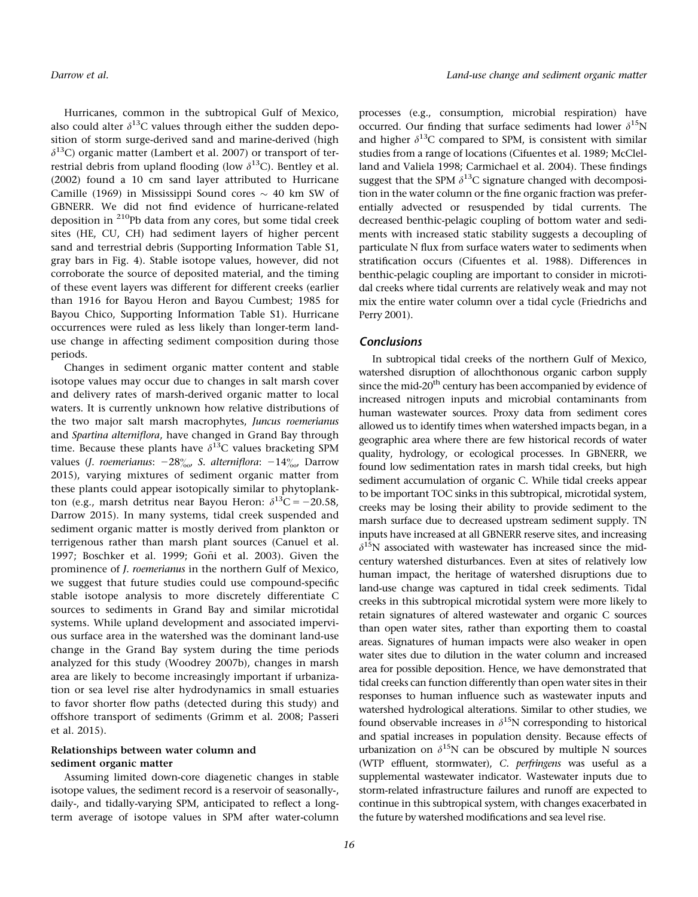Hurricanes, common in the subtropical Gulf of Mexico, also could alter  $\delta^{13}$ C values through either the sudden deposition of storm surge-derived sand and marine-derived (high  $\delta^{13}$ C) organic matter (Lambert et al. 2007) or transport of terrestrial debris from upland flooding (low  $\delta^{13}$ C). Bentley et al. (2002) found a 10 cm sand layer attributed to Hurricane Camille (1969) in Mississippi Sound cores  $\sim$  40 km SW of GBNERR. We did not find evidence of hurricane-related deposition in <sup>210</sup>Pb data from any cores, but some tidal creek sites (HE, CU, CH) had sediment layers of higher percent sand and terrestrial debris (Supporting Information Table S1, gray bars in Fig. 4). Stable isotope values, however, did not corroborate the source of deposited material, and the timing of these event layers was different for different creeks (earlier than 1916 for Bayou Heron and Bayou Cumbest; 1985 for Bayou Chico, Supporting Information Table S1). Hurricane occurrences were ruled as less likely than longer-term landuse change in affecting sediment composition during those periods.

Changes in sediment organic matter content and stable isotope values may occur due to changes in salt marsh cover and delivery rates of marsh-derived organic matter to local waters. It is currently unknown how relative distributions of the two major salt marsh macrophytes, Juncus roemerianus and Spartina alterniflora, have changed in Grand Bay through time. Because these plants have  $\delta^{13}$ C values bracketing SPM values (J. roemerianus:  $-28\%$ , S. alterniflora:  $-14\%$ , Darrow 2015), varying mixtures of sediment organic matter from these plants could appear isotopically similar to phytoplankton (e.g., marsh detritus near Bayou Heron:  $\delta^{13}C = -20.58$ , Darrow 2015). In many systems, tidal creek suspended and sediment organic matter is mostly derived from plankton or terrigenous rather than marsh plant sources (Canuel et al. 1997; Boschker et al. 1999; Goñi et al. 2003). Given the prominence of J. roemerianus in the northern Gulf of Mexico, we suggest that future studies could use compound-specific stable isotope analysis to more discretely differentiate C sources to sediments in Grand Bay and similar microtidal systems. While upland development and associated impervious surface area in the watershed was the dominant land-use change in the Grand Bay system during the time periods analyzed for this study (Woodrey 2007b), changes in marsh area are likely to become increasingly important if urbanization or sea level rise alter hydrodynamics in small estuaries to favor shorter flow paths (detected during this study) and offshore transport of sediments (Grimm et al. 2008; Passeri et al. 2015).

# Relationships between water column and sediment organic matter

Assuming limited down-core diagenetic changes in stable isotope values, the sediment record is a reservoir of seasonally-, daily-, and tidally-varying SPM, anticipated to reflect a longterm average of isotope values in SPM after water-column processes (e.g., consumption, microbial respiration) have occurred. Our finding that surface sediments had lower  $\delta^{15}N$ and higher  $\delta^{13}$ C compared to SPM, is consistent with similar studies from a range of locations (Cifuentes et al. 1989; McClelland and Valiela 1998; Carmichael et al. 2004). These findings suggest that the SPM  $\delta^{13}$ C signature changed with decomposition in the water column or the fine organic fraction was preferentially advected or resuspended by tidal currents. The decreased benthic-pelagic coupling of bottom water and sediments with increased static stability suggests a decoupling of particulate N flux from surface waters water to sediments when stratification occurs (Cifuentes et al. 1988). Differences in benthic-pelagic coupling are important to consider in microtidal creeks where tidal currents are relatively weak and may not mix the entire water column over a tidal cycle (Friedrichs and Perry 2001).

# **Conclusions**

In subtropical tidal creeks of the northern Gulf of Mexico, watershed disruption of allochthonous organic carbon supply since the mid-20<sup>th</sup> century has been accompanied by evidence of increased nitrogen inputs and microbial contaminants from human wastewater sources. Proxy data from sediment cores allowed us to identify times when watershed impacts began, in a geographic area where there are few historical records of water quality, hydrology, or ecological processes. In GBNERR, we found low sedimentation rates in marsh tidal creeks, but high sediment accumulation of organic C. While tidal creeks appear to be important TOC sinks in this subtropical, microtidal system, creeks may be losing their ability to provide sediment to the marsh surface due to decreased upstream sediment supply. TN inputs have increased at all GBNERR reserve sites, and increasing  $\delta^{15}$ N associated with wastewater has increased since the midcentury watershed disturbances. Even at sites of relatively low human impact, the heritage of watershed disruptions due to land-use change was captured in tidal creek sediments. Tidal creeks in this subtropical microtidal system were more likely to retain signatures of altered wastewater and organic C sources than open water sites, rather than exporting them to coastal areas. Signatures of human impacts were also weaker in open water sites due to dilution in the water column and increased area for possible deposition. Hence, we have demonstrated that tidal creeks can function differently than open water sites in their responses to human influence such as wastewater inputs and watershed hydrological alterations. Similar to other studies, we found observable increases in  $\delta^{15}N$  corresponding to historical and spatial increases in population density. Because effects of urbanization on  $\delta^{15}N$  can be obscured by multiple N sources (WTP effluent, stormwater), C. perfringens was useful as a supplemental wastewater indicator. Wastewater inputs due to storm-related infrastructure failures and runoff are expected to continue in this subtropical system, with changes exacerbated in the future by watershed modifications and sea level rise.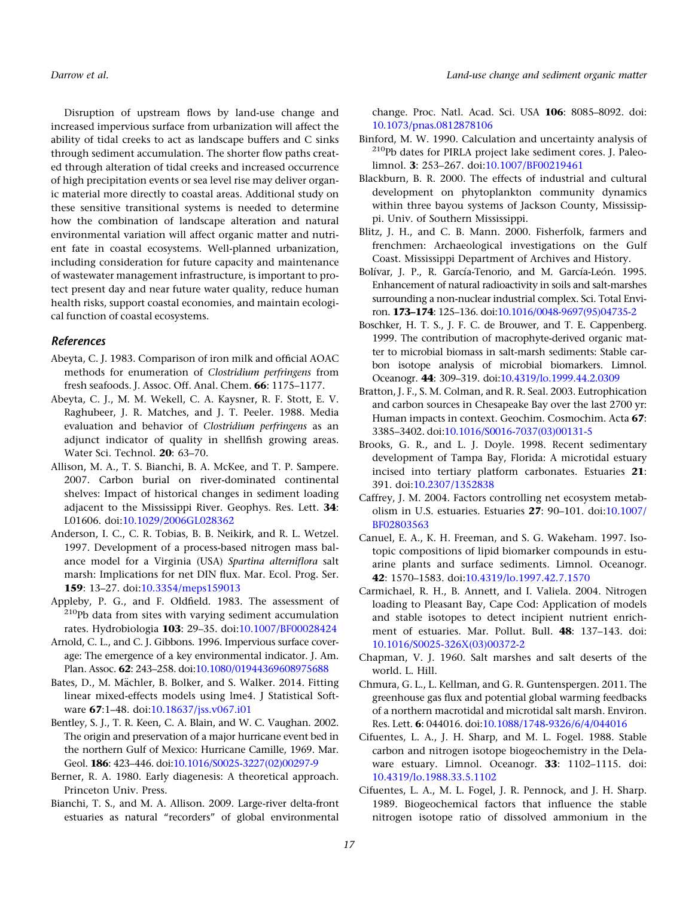Disruption of upstream flows by land-use change and increased impervious surface from urbanization will affect the ability of tidal creeks to act as landscape buffers and C sinks through sediment accumulation. The shorter flow paths created through alteration of tidal creeks and increased occurrence of high precipitation events or sea level rise may deliver organic material more directly to coastal areas. Additional study on these sensitive transitional systems is needed to determine how the combination of landscape alteration and natural environmental variation will affect organic matter and nutrient fate in coastal ecosystems. Well-planned urbanization, including consideration for future capacity and maintenance of wastewater management infrastructure, is important to protect present day and near future water quality, reduce human health risks, support coastal economies, and maintain ecological function of coastal ecosystems.

# References

- Abeyta, C. J. 1983. Comparison of iron milk and official AOAC methods for enumeration of Clostridium perfringens from fresh seafoods. J. Assoc. Off. Anal. Chem. 66: 1175–1177.
- Abeyta, C. J., M. M. Wekell, C. A. Kaysner, R. F. Stott, E. V. Raghubeer, J. R. Matches, and J. T. Peeler. 1988. Media evaluation and behavior of Clostridium perfringens as an adjunct indicator of quality in shellfish growing areas. Water Sci. Technol. 20: 63–70.
- Allison, M. A., T. S. Bianchi, B. A. McKee, and T. P. Sampere. 2007. Carbon burial on river-dominated continental shelves: Impact of historical changes in sediment loading adjacent to the Mississippi River. Geophys. Res. Lett. 34: L01606. doi:[10.1029/2006GL028362](http://dx.doi.org/10.1029/2006GL028362)
- Anderson, I. C., C. R. Tobias, B. B. Neikirk, and R. L. Wetzel. 1997. Development of a process-based nitrogen mass balance model for a Virginia (USA) Spartina alterniflora salt marsh: Implications for net DIN flux. Mar. Ecol. Prog. Ser. 159: 13–27. doi[:10.3354/meps159013](http://dx.doi.org/10.3354/meps159013)
- Appleby, P. G., and F. Oldfield. 1983. The assessment of <sup>210</sup>Pb data from sites with varying sediment accumulation rates. Hydrobiologia 103: 29–35. doi:[10.1007/BF00028424](http://dx.doi.org/10.1007/BF00028424)
- Arnold, C. L., and C. J. Gibbons. 1996. Impervious surface coverage: The emergence of a key environmental indicator. J. Am. Plan. Assoc. 62: 243-258. doi:[10.1080/01944369608975688](http://dx.doi.org/10.1080/01944369608975688)
- Bates, D., M. Mächler, B. Bolker, and S. Walker. 2014. Fitting linear mixed-effects models using lme4. J Statistical Software 67:1–48. doi[:10.18637/jss.v067.i01](http://dx.doi.org/10.18637/jss.v067.i01)
- Bentley, S. J., T. R. Keen, C. A. Blain, and W. C. Vaughan. 2002. The origin and preservation of a major hurricane event bed in the northern Gulf of Mexico: Hurricane Camille, 1969. Mar. Geol. 186: 423–446. doi:[10.1016/S0025-3227\(02\)00297-9](http://dx.doi.org/10.1016/S0025-3227(02)00297-9)
- Berner, R. A. 1980. Early diagenesis: A theoretical approach. Princeton Univ. Press.
- Bianchi, T. S., and M. A. Allison. 2009. Large-river delta-front estuaries as natural "recorders" of global environmental

change. Proc. Natl. Acad. Sci. USA 106: 8085–8092. doi: [10.1073/pnas.0812878106](http://dx.doi.org/10.1073/pnas.0812878106)

- Binford, M. W. 1990. Calculation and uncertainty analysis of <sup>210</sup>Pb dates for PIRLA project lake sediment cores. J. Paleolimnol. 3: 253–267. doi[:10.1007/BF00219461](http://dx.doi.org/10.1007/BF00219461)
- Blackburn, B. R. 2000. The effects of industrial and cultural development on phytoplankton community dynamics within three bayou systems of Jackson County, Mississippi. Univ. of Southern Mississippi.
- Blitz, J. H., and C. B. Mann. 2000. Fisherfolk, farmers and frenchmen: Archaeological investigations on the Gulf Coast. Mississippi Department of Archives and History.
- Bolívar, J. P., R. García-Tenorio, and M. García-León. 1995. Enhancement of natural radioactivity in soils and salt-marshes surrounding a non-nuclear industrial complex. Sci. Total Environ. 173–174: 125–136. doi[:10.1016/0048-9697\(95\)04735-2](http://dx.doi.org/10.1016/0048-9697(95)04735-2)
- Boschker, H. T. S., J. F. C. de Brouwer, and T. E. Cappenberg. 1999. The contribution of macrophyte-derived organic matter to microbial biomass in salt-marsh sediments: Stable carbon isotope analysis of microbial biomarkers. Limnol. Oceanogr. 44: 309–319. doi:[10.4319/lo.1999.44.2.0309](http://dx.doi.org/10.4319/lo.1999.44.2.0309)
- Bratton, J. F., S. M. Colman, and R. R. Seal. 2003. Eutrophication and carbon sources in Chesapeake Bay over the last 2700 yr: Human impacts in context. Geochim. Cosmochim. Acta 67: 3385–3402. doi[:10.1016/S0016-7037\(03\)00131-5](http://dx.doi.org/10.1016/S0016-7037(03)00131-5)
- Brooks, G. R., and L. J. Doyle. 1998. Recent sedimentary development of Tampa Bay, Florida: A microtidal estuary incised into tertiary platform carbonates. Estuaries 21: 391. doi[:10.2307/1352838](http://dx.doi.org/10.2307/1352838)
- Caffrey, J. M. 2004. Factors controlling net ecosystem metabolism in U.S. estuaries. Estuaries 27: 90–101. doi[:10.1007/](http://dx.doi.org/10.1007/BF02803563) [BF02803563](http://dx.doi.org/10.1007/BF02803563)
- Canuel, E. A., K. H. Freeman, and S. G. Wakeham. 1997. Isotopic compositions of lipid biomarker compounds in estuarine plants and surface sediments. Limnol. Oceanogr. 42: 1570–1583. doi[:10.4319/lo.1997.42.7.1570](http://dx.doi.org/10.4319/lo.1997.42.7.1570)
- Carmichael, R. H., B. Annett, and I. Valiela. 2004. Nitrogen loading to Pleasant Bay, Cape Cod: Application of models and stable isotopes to detect incipient nutrient enrichment of estuaries. Mar. Pollut. Bull. 48: 137–143. doi: [10.1016/S0025-326X\(03\)00372-2](http://dx.doi.org/10.1016/S0025-326X(03)00372-2)
- Chapman, V. J. 1960. Salt marshes and salt deserts of the world. L. Hill.
- Chmura, G. L., L. Kellman, and G. R. Guntenspergen. 2011. The greenhouse gas flux and potential global warming feedbacks of a northern macrotidal and microtidal salt marsh. Environ. Res. Lett. 6: 044016. doi:[10.1088/1748-9326/6/4/044016](http://dx.doi.org/10.1088/1748-9326/6/4/044016)
- Cifuentes, L. A., J. H. Sharp, and M. L. Fogel. 1988. Stable carbon and nitrogen isotope biogeochemistry in the Delaware estuary. Limnol. Oceanogr. 33: 1102–1115. doi: [10.4319/lo.1988.33.5.1102](http://dx.doi.org/10.4319/lo.1988.33.5.1102)
- Cifuentes, L. A., M. L. Fogel, J. R. Pennock, and J. H. Sharp. 1989. Biogeochemical factors that influence the stable nitrogen isotope ratio of dissolved ammonium in the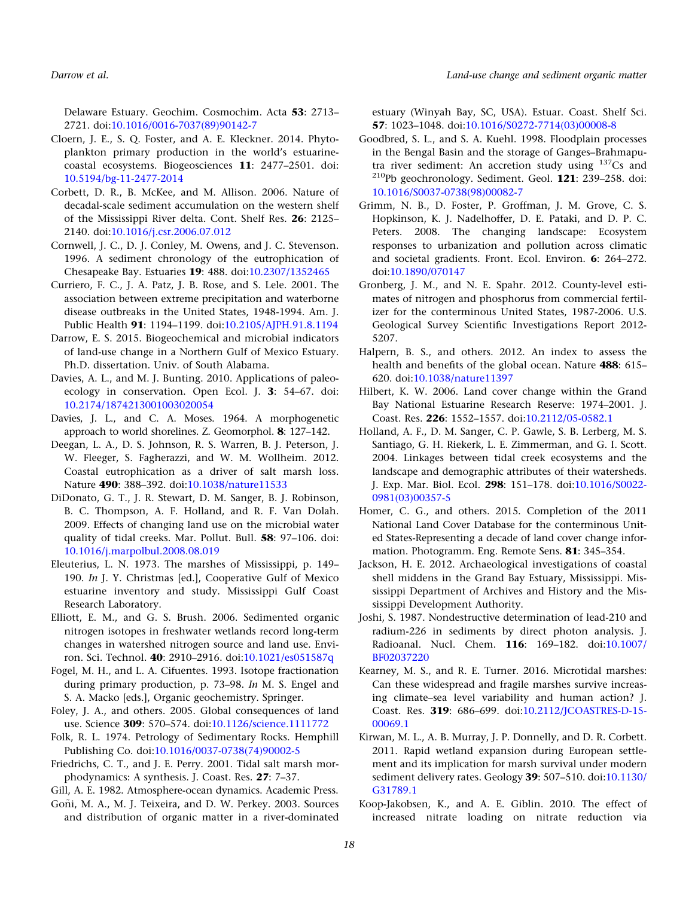Delaware Estuary. Geochim. Cosmochim. Acta 53: 2713– 2721. doi[:10.1016/0016-7037\(89\)90142-7](http://dx.doi.org/10.1016/0016-7037(89)90142-7)

- Cloern, J. E., S. Q. Foster, and A. E. Kleckner. 2014. Phytoplankton primary production in the world's estuarinecoastal ecosystems. Biogeosciences 11: 2477–2501. doi: [10.5194/bg-11-2477-2014](http://dx.doi.org/10.5194/bg-11-2477-2014)
- Corbett, D. R., B. McKee, and M. Allison. 2006. Nature of decadal-scale sediment accumulation on the western shelf of the Mississippi River delta. Cont. Shelf Res. 26: 2125– 2140. doi[:10.1016/j.csr.2006.07.012](http://dx.doi.org/10.1016/j.csr.2006.07.012)
- Cornwell, J. C., D. J. Conley, M. Owens, and J. C. Stevenson. 1996. A sediment chronology of the eutrophication of Chesapeake Bay. Estuaries 19: 488. doi:[10.2307/1352465](http://dx.doi.org/10.2307/1352465)
- Curriero, F. C., J. A. Patz, J. B. Rose, and S. Lele. 2001. The association between extreme precipitation and waterborne disease outbreaks in the United States, 1948-1994. Am. J. Public Health 91: 1194–1199. doi:[10.2105/AJPH.91.8.1194](http://dx.doi.org/10.2105/AJPH.91.8.1194)
- Darrow, E. S. 2015. Biogeochemical and microbial indicators of land-use change in a Northern Gulf of Mexico Estuary. Ph.D. dissertation. Univ. of South Alabama.
- Davies, A. L., and M. J. Bunting. 2010. Applications of paleoecology in conservation. Open Ecol. J. 3: 54–67. doi: [10.2174/1874213001003020054](http://dx.doi.org/10.2174/1874213001003020054)
- Davies, J. L., and C. A. Moses. 1964. A morphogenetic approach to world shorelines. Z. Geomorphol. 8: 127–142.
- Deegan, L. A., D. S. Johnson, R. S. Warren, B. J. Peterson, J. W. Fleeger, S. Fagherazzi, and W. M. Wollheim. 2012. Coastal eutrophication as a driver of salt marsh loss. Nature 490: 388–392. doi[:10.1038/nature11533](http://dx.doi.org/10.1038/nature11533)
- DiDonato, G. T., J. R. Stewart, D. M. Sanger, B. J. Robinson, B. C. Thompson, A. F. Holland, and R. F. Van Dolah. 2009. Effects of changing land use on the microbial water quality of tidal creeks. Mar. Pollut. Bull. 58: 97–106. doi: [10.1016/j.marpolbul.2008.08.019](http://dx.doi.org/10.1016/j.marpolbul.2008.08.019)
- Eleuterius, L. N. 1973. The marshes of Mississippi, p. 149– 190. In J. Y. Christmas [ed.], Cooperative Gulf of Mexico estuarine inventory and study. Mississippi Gulf Coast Research Laboratory.
- Elliott, E. M., and G. S. Brush. 2006. Sedimented organic nitrogen isotopes in freshwater wetlands record long-term changes in watershed nitrogen source and land use. Environ. Sci. Technol. 40: 2910–2916. doi[:10.1021/es051587q](http://dx.doi.org/10.1021/es051587q)
- Fogel, M. H., and L. A. Cifuentes. 1993. Isotope fractionation during primary production, p. 73–98. In M. S. Engel and S. A. Macko [eds.], Organic geochemistry. Springer.
- Foley, J. A., and others. 2005. Global consequences of land use. Science 309: 570–574. doi:[10.1126/science.1111772](http://dx.doi.org/10.1126/science.1111772)
- Folk, R. L. 1974. Petrology of Sedimentary Rocks. Hemphill Publishing Co. doi[:10.1016/0037-0738\(74\)90002-5](http://dx.doi.org/10.1016/0037-0738(74)90002-5)
- Friedrichs, C. T., and J. E. Perry. 2001. Tidal salt marsh morphodynamics: A synthesis. J. Coast. Res. 27: 7–37.
- Gill, A. E. 1982. Atmosphere-ocean dynamics. Academic Press.
- Goñi, M. A., M. J. Teixeira, and D. W. Perkey. 2003. Sources and distribution of organic matter in a river-dominated

estuary (Winyah Bay, SC, USA). Estuar. Coast. Shelf Sci. 57: 1023–1048. doi[:10.1016/S0272-7714\(03\)00008-8](http://dx.doi.org/10.1016/S0272-7714(03)00008-8)

- Goodbred, S. L., and S. A. Kuehl. 1998. Floodplain processes in the Bengal Basin and the storage of Ganges–Brahmaputra river sediment: An accretion study using  $137Cs$  and 210Pb geochronology. Sediment. Geol. 121: 239–258. doi: [10.1016/S0037-0738\(98\)00082-7](http://dx.doi.org/10.1016/S0037-0738(98)00082-7)
- Grimm, N. B., D. Foster, P. Groffman, J. M. Grove, C. S. Hopkinson, K. J. Nadelhoffer, D. E. Pataki, and D. P. C. Peters. 2008. The changing landscape: Ecosystem responses to urbanization and pollution across climatic and societal gradients. Front. Ecol. Environ. 6: 264–272. doi[:10.1890/070147](http://dx.doi.org/10.1890/070147)
- Gronberg, J. M., and N. E. Spahr. 2012. County-level estimates of nitrogen and phosphorus from commercial fertilizer for the conterminous United States, 1987-2006. U.S. Geological Survey Scientific Investigations Report 2012- 5207.
- Halpern, B. S., and others. 2012. An index to assess the health and benefits of the global ocean. Nature 488: 615-620. doi[:10.1038/nature11397](http://dx.doi.org/10.1038/nature11397)
- Hilbert, K. W. 2006. Land cover change within the Grand Bay National Estuarine Research Reserve: 1974–2001. J. Coast. Res. 226: 1552–1557. doi:[10.2112/05-0582.1](http://dx.doi.org/10.2112/05-0582.1)
- Holland, A. F., D. M. Sanger, C. P. Gawle, S. B. Lerberg, M. S. Santiago, G. H. Riekerk, L. E. Zimmerman, and G. I. Scott. 2004. Linkages between tidal creek ecosystems and the landscape and demographic attributes of their watersheds. J. Exp. Mar. Biol. Ecol. 298: 151–178. doi:[10.1016/S0022-](http://dx.doi.org/10.1016/S0022-0981(03)00357-5) [0981\(03\)00357-5](http://dx.doi.org/10.1016/S0022-0981(03)00357-5)
- Homer, C. G., and others. 2015. Completion of the 2011 National Land Cover Database for the conterminous United States-Representing a decade of land cover change information. Photogramm. Eng. Remote Sens. 81: 345–354.
- Jackson, H. E. 2012. Archaeological investigations of coastal shell middens in the Grand Bay Estuary, Mississippi. Mississippi Department of Archives and History and the Mississippi Development Authority.
- Joshi, S. 1987. Nondestructive determination of lead-210 and radium-226 in sediments by direct photon analysis. J. Radioanal. Nucl. Chem. 116: 169–182. doi[:10.1007/](http://dx.doi.org/10.1007/BF02037220) [BF02037220](http://dx.doi.org/10.1007/BF02037220)
- Kearney, M. S., and R. E. Turner. 2016. Microtidal marshes: Can these widespread and fragile marshes survive increasing climate–sea level variability and human action? J. Coast. Res. 319: 686–699. doi[:10.2112/JCOASTRES-D-15-](http://dx.doi.org/10.2112/JCOASTRES-D-15-00069.1) [00069.1](http://dx.doi.org/10.2112/JCOASTRES-D-15-00069.1)
- Kirwan, M. L., A. B. Murray, J. P. Donnelly, and D. R. Corbett. 2011. Rapid wetland expansion during European settlement and its implication for marsh survival under modern sediment delivery rates. Geology 39: 507-510. doi:[10.1130/](http://dx.doi.org/10.1130/G31789.1) [G31789.1](http://dx.doi.org/10.1130/G31789.1)
- Koop-Jakobsen, K., and A. E. Giblin. 2010. The effect of increased nitrate loading on nitrate reduction via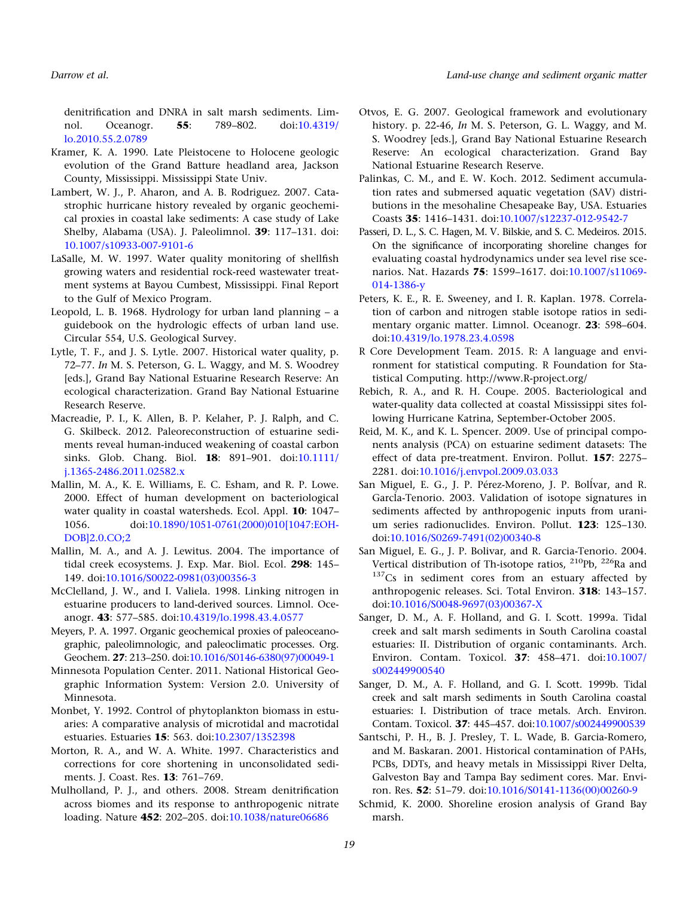denitrification and DNRA in salt marsh sediments. Limnol. Oceanogr. 55: 789–802. doi:[10.4319/](http://dx.doi.org/10.4319/lo.2010.55.2.0789) [lo.2010.55.2.0789](http://dx.doi.org/10.4319/lo.2010.55.2.0789)

- Kramer, K. A. 1990. Late Pleistocene to Holocene geologic evolution of the Grand Batture headland area, Jackson County, Mississippi. Mississippi State Univ.
- Lambert, W. J., P. Aharon, and A. B. Rodriguez. 2007. Catastrophic hurricane history revealed by organic geochemical proxies in coastal lake sediments: A case study of Lake Shelby, Alabama (USA). J. Paleolimnol. 39: 117–131. doi: [10.1007/s10933-007-9101-6](http://dx.doi.org/10.1007/s10933-007-9101-6)
- LaSalle, M. W. 1997. Water quality monitoring of shellfish growing waters and residential rock-reed wastewater treatment systems at Bayou Cumbest, Mississippi. Final Report to the Gulf of Mexico Program.
- Leopold, L. B. 1968. Hydrology for urban land planning a guidebook on the hydrologic effects of urban land use. Circular 554, U.S. Geological Survey.
- Lytle, T. F., and J. S. Lytle. 2007. Historical water quality, p. 72–77. In M. S. Peterson, G. L. Waggy, and M. S. Woodrey [eds.], Grand Bay National Estuarine Research Reserve: An ecological characterization. Grand Bay National Estuarine Research Reserve.
- Macreadie, P. I., K. Allen, B. P. Kelaher, P. J. Ralph, and C. G. Skilbeck. 2012. Paleoreconstruction of estuarine sediments reveal human-induced weakening of coastal carbon sinks. Glob. Chang. Biol. **18**: 891-901. doi:[10.1111/](http://dx.doi.org/10.1111/j.1365-2486.2011.02582.x) [j.1365-2486.2011.02582.x](http://dx.doi.org/10.1111/j.1365-2486.2011.02582.x)
- Mallin, M. A., K. E. Williams, E. C. Esham, and R. P. Lowe. 2000. Effect of human development on bacteriological water quality in coastal watersheds. Ecol. Appl. 10: 1047– 1056. doi:[10.1890/1051-0761\(2000\)010\[1047:EOH-](http://dx.doi.org/10.1890/1051-0761(2000)010[1047:EOHDOB]2.0.CO;2)[DOB\]2.0.CO;2](http://dx.doi.org/10.1890/1051-0761(2000)010[1047:EOHDOB]2.0.CO;2)
- Mallin, M. A., and A. J. Lewitus. 2004. The importance of tidal creek ecosystems. J. Exp. Mar. Biol. Ecol. 298: 145– 149. doi[:10.1016/S0022-0981\(03\)00356-3](http://dx.doi.org/10.1016/S0022-0981(03)00356-3)
- McClelland, J. W., and I. Valiela. 1998. Linking nitrogen in estuarine producers to land-derived sources. Limnol. Oceanogr. 43: 577–585. doi:[10.4319/lo.1998.43.4.0577](http://dx.doi.org/10.4319/lo.1998.43.4.0577)
- Meyers, P. A. 1997. Organic geochemical proxies of paleoceanographic, paleolimnologic, and paleoclimatic processes. Org. Geochem. 27: 213–250. doi[:10.1016/S0146-6380\(97\)00049-1](http://dx.doi.org/10.1016/S0146-6380(97)00049-1)
- Minnesota Population Center. 2011. National Historical Geographic Information System: Version 2.0. University of Minnesota.
- Monbet, Y. 1992. Control of phytoplankton biomass in estuaries: A comparative analysis of microtidal and macrotidal estuaries. Estuaries 15: 563. doi:[10.2307/1352398](http://dx.doi.org/10.2307/1352398)
- Morton, R. A., and W. A. White. 1997. Characteristics and corrections for core shortening in unconsolidated sediments. J. Coast. Res. 13: 761–769.
- Mulholland, P. J., and others. 2008. Stream denitrification across biomes and its response to anthropogenic nitrate loading. Nature 452: 202–205. doi:[10.1038/nature06686](http://dx.doi.org/10.1038/nature06686)
- Otvos, E. G. 2007. Geological framework and evolutionary history. p. 22-46, In M. S. Peterson, G. L. Waggy, and M. S. Woodrey [eds.], Grand Bay National Estuarine Research Reserve: An ecological characterization. Grand Bay National Estuarine Research Reserve.
- Palinkas, C. M., and E. W. Koch. 2012. Sediment accumulation rates and submersed aquatic vegetation (SAV) distributions in the mesohaline Chesapeake Bay, USA. Estuaries Coasts 35: 1416–1431. doi:[10.1007/s12237-012-9542-7](http://dx.doi.org/10.1007/s12237-012-9542-7)
- Passeri, D. L., S. C. Hagen, M. V. Bilskie, and S. C. Medeiros. 2015. On the significance of incorporating shoreline changes for evaluating coastal hydrodynamics under sea level rise scenarios. Nat. Hazards 75: 1599–1617. doi[:10.1007/s11069-](http://dx.doi.org/10.1007/s11069-014-1386-y) [014-1386-y](http://dx.doi.org/10.1007/s11069-014-1386-y)
- Peters, K. E., R. E. Sweeney, and I. R. Kaplan. 1978. Correlation of carbon and nitrogen stable isotope ratios in sedimentary organic matter. Limnol. Oceanogr. 23: 598–604. doi[:10.4319/lo.1978.23.4.0598](http://dx.doi.org/10.4319/lo.1978.23.4.0598)
- R Core Development Team. 2015. R: A language and environment for statistical computing. R Foundation for Statistical Computing.<http://www.R-project.org/>
- Rebich, R. A., and R. H. Coupe. 2005. Bacteriological and water-quality data collected at coastal Mississippi sites following Hurricane Katrina, September-October 2005.
- Reid, M. K., and K. L. Spencer. 2009. Use of principal components analysis (PCA) on estuarine sediment datasets: The effect of data pre-treatment. Environ. Pollut. 157: 2275– 2281. doi[:10.1016/j.envpol.2009.03.033](http://dx.doi.org/10.1016/j.envpol.2009.03.033)
- San Miguel, E. G., J. P. Pérez-Moreno, J. P. Bolĺvar, and R. García-Tenorio. 2003. Validation of isotope signatures in sediments affected by anthropogenic inputs from uranium series radionuclides. Environ. Pollut. 123: 125–130. doi[:10.1016/S0269-7491\(02\)00340-8](http://dx.doi.org/10.1016/S0269-7491(02)00340-8)
- San Miguel, E. G., J. P. Bolivar, and R. Garcia-Tenorio. 2004. Vertical distribution of Th-isotope ratios,  $^{210}Pb$ ,  $^{226}Ra$  and <sup>137</sup>Cs in sediment cores from an estuary affected by anthropogenic releases. Sci. Total Environ. 318: 143–157. doi[:10.1016/S0048-9697\(03\)00367-X](http://dx.doi.org/10.1016/S0048-9697(03)00367-X)
- Sanger, D. M., A. F. Holland, and G. I. Scott. 1999a. Tidal creek and salt marsh sediments in South Carolina coastal estuaries: II. Distribution of organic contaminants. Arch. Environ. Contam. Toxicol. 37: 458–471. doi[:10.1007/](http://dx.doi.org/10.1007/s002449900540) [s002449900540](http://dx.doi.org/10.1007/s002449900540)
- Sanger, D. M., A. F. Holland, and G. I. Scott. 1999b. Tidal creek and salt marsh sediments in South Carolina coastal estuaries: I. Distribution of trace metals. Arch. Environ. Contam. Toxicol. 37: 445–457. doi[:10.1007/s002449900539](http://dx.doi.org/10.1007/s002449900539)
- Santschi, P. H., B. J. Presley, T. L. Wade, B. Garcia-Romero, and M. Baskaran. 2001. Historical contamination of PAHs, PCBs, DDTs, and heavy metals in Mississippi River Delta, Galveston Bay and Tampa Bay sediment cores. Mar. Environ. Res. 52: 51–79. doi:[10.1016/S0141-1136\(00\)00260-9](http://dx.doi.org/10.1016/S0141-1136(00)00260-9)
- Schmid, K. 2000. Shoreline erosion analysis of Grand Bay marsh.